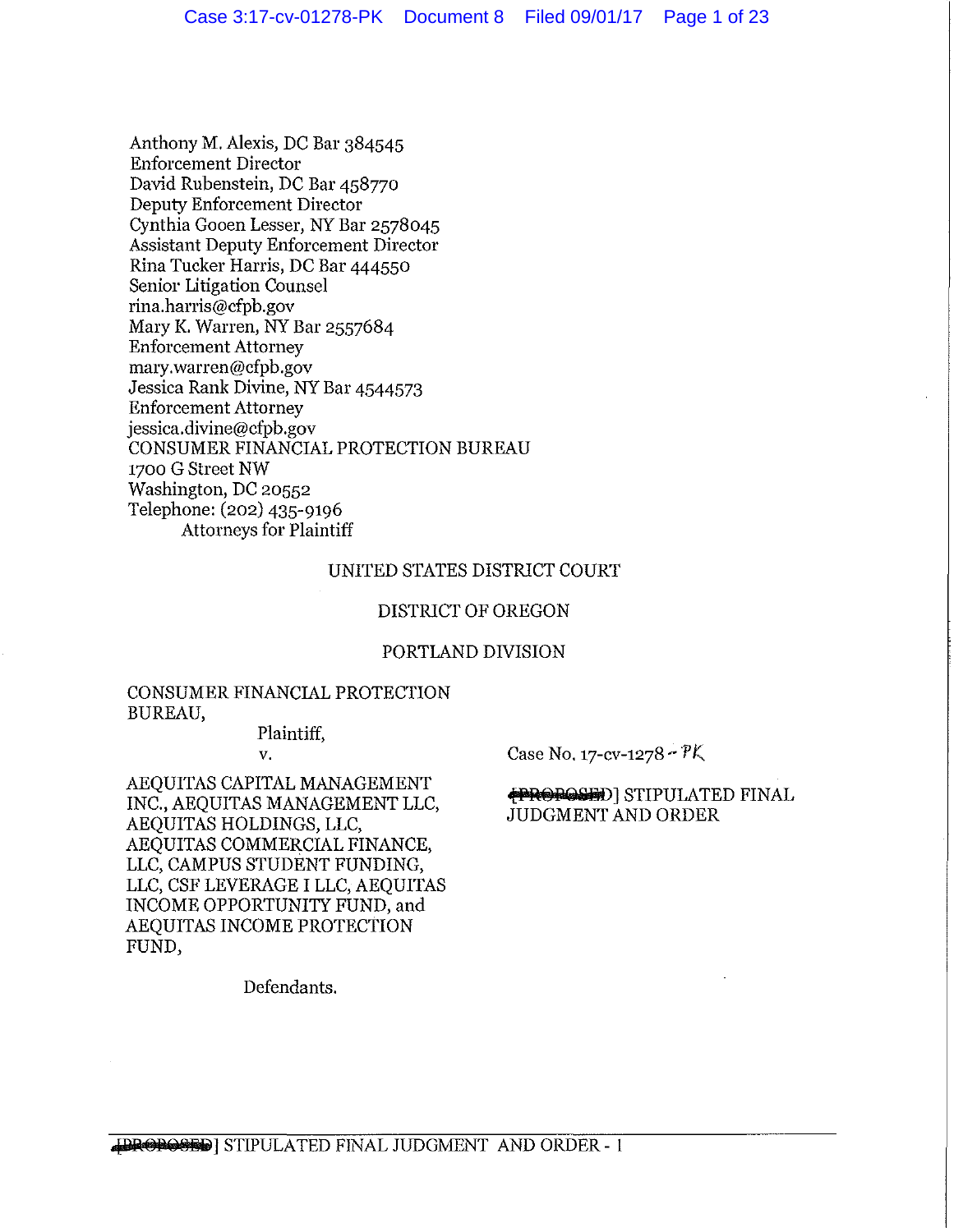Anthony M. Alexis, DC Bar 384545 Enforcement Director David Rubenstein, DC Bar 458770 Deputy Enforcement Director Cynthia Gooen Lesser, NY Bar 2578045 Assistant Deputy Enforcement Director Rina Tucker Harris, DC Bar 444550 Senior Litigation Counsel rina.harris@cfpb.gov Mary K. Warren, NY Bar 2557684 Enforcement Attorney mary.warren@cfpb.gov Jessica Rank Divine, NY Bar 4544573 Enforcement Attorney jessica.divine@cfpb.gov CONSUMER FINANCIAL PROTECTION BUREAU 1700 G Street NW Washington, DC 20552 Telephone: (202) 435-9196 Attorneys for Plaintiff

# UNITED STATES DISTRICT COURT

#### DISTRICT OF OREGON

#### PORTLAND DIVISION

# CONSUMER FINANCIAL PROTECTION BUREAU,

Plaintiff, v.

Case No. 17-cv-1278  $\cdot$  PK

AEQUITAS CAPITAL MANAGEMENT INC., AEQUITAS MANAGEMENT LLC, AEQUITAS HOLDINGS, LLC, AEQUITAS COMMERCIAL FINANCE, LLC, CAMPUS STUDENT FUNDING, LLC, CSF LEVERAGE I LLC, AEQUITAS INCOME OPPORTUNITY FUND, and AEQUITAS INCOME PROTECTION FUND,

# **PROPOSED** STIPULATED FINAL JUDGMENT AND ORDER

Defendants.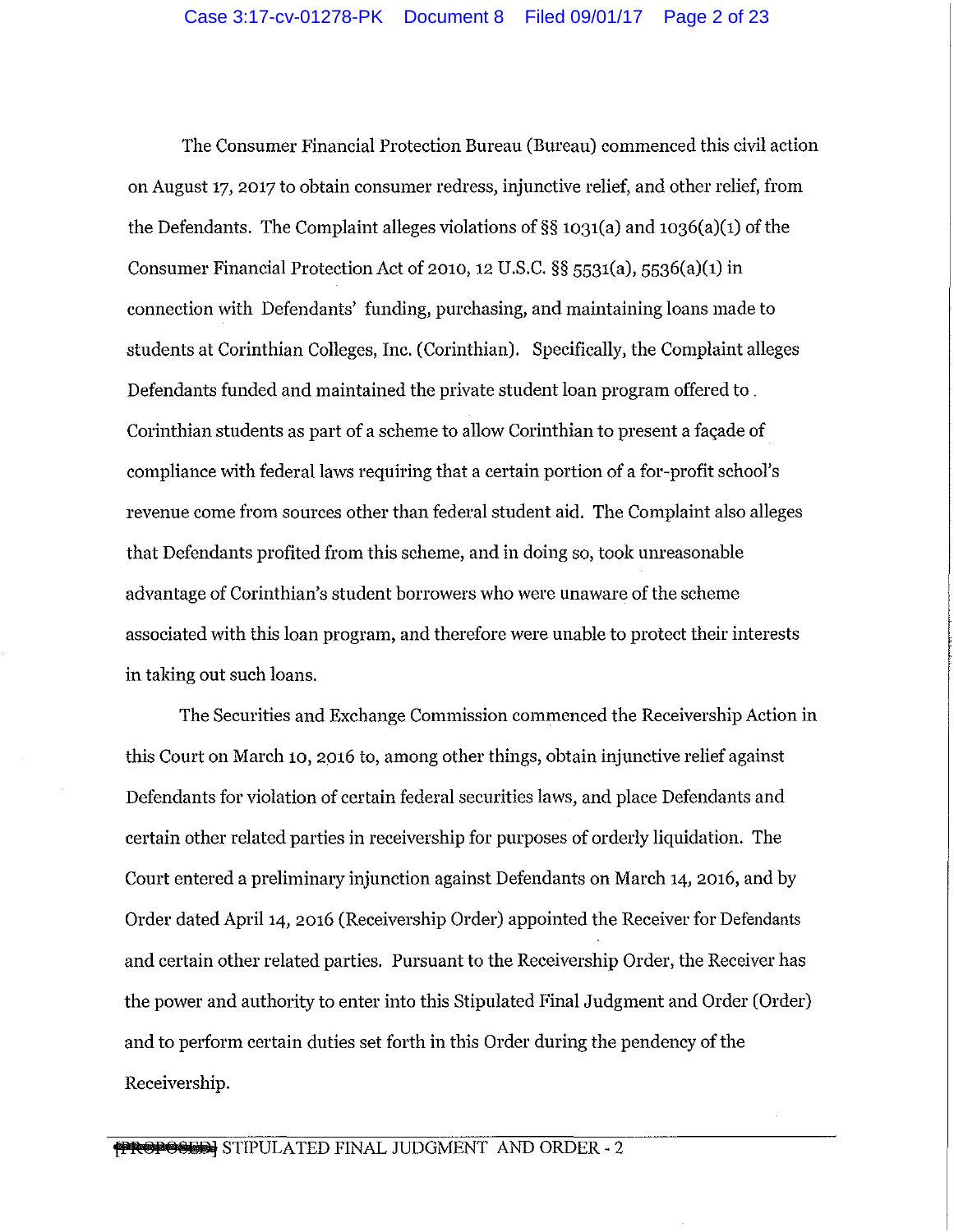The Consumer Financial Protection Bureau (Bureau) commenced this civil action on August 17, 2017 to obtain consumer redress, injunctive relief, and other relief, from the Defendants. The Complaint alleges violations of§§ 1031(a) and 1036(a)(1) of the Consumer Financial Protection Act of 2010, 12 U.S.C. §§ 5531(a), 5536(a)(1) in connection with Defendants' funding, purchasing, and maintaining loans made to students at Corinthian Colleges, Inc. (Corinthian). Specifically, the Complaint alleges Defendants funded and maintained the private student loan program offered to . Corinthian students as part of a scheme to allow Corinthian to present a façade of compliance with federal laws requiring that a certain portion of a for-profit school's revenue come from sources other than federal student aid. The Complaint also alleges that Defendants profited from this scheme, and in doing so, took unreasonable advantage of Corinthian's student borrowers who were unaware of the scheme associated with this loan program, and therefore were unable to protect their interests in taking out such loans.

The Securities and Exchange Commission commenced the Receivership Action in this Court on March 10, 2016 to, among other things, obtain injunctive relief against Defendants for violation of certain federal securities laws, and place Defendants and certain other related parties in receivership for purposes of orderly liquidation. The Court entered a preliminary injunction against Defendants on March 14, 2016, and by Order dated April 14, 2016 (Receivership Order) appointed the Receiver for Defendants and certain other related parties. Pursuant to the Receivership Order, the Receiver has the power and authority to enter into this Stipulated Final Judgment and Order (Order) and to perform certain duties set forth in this Order during the pendency of the Receivership.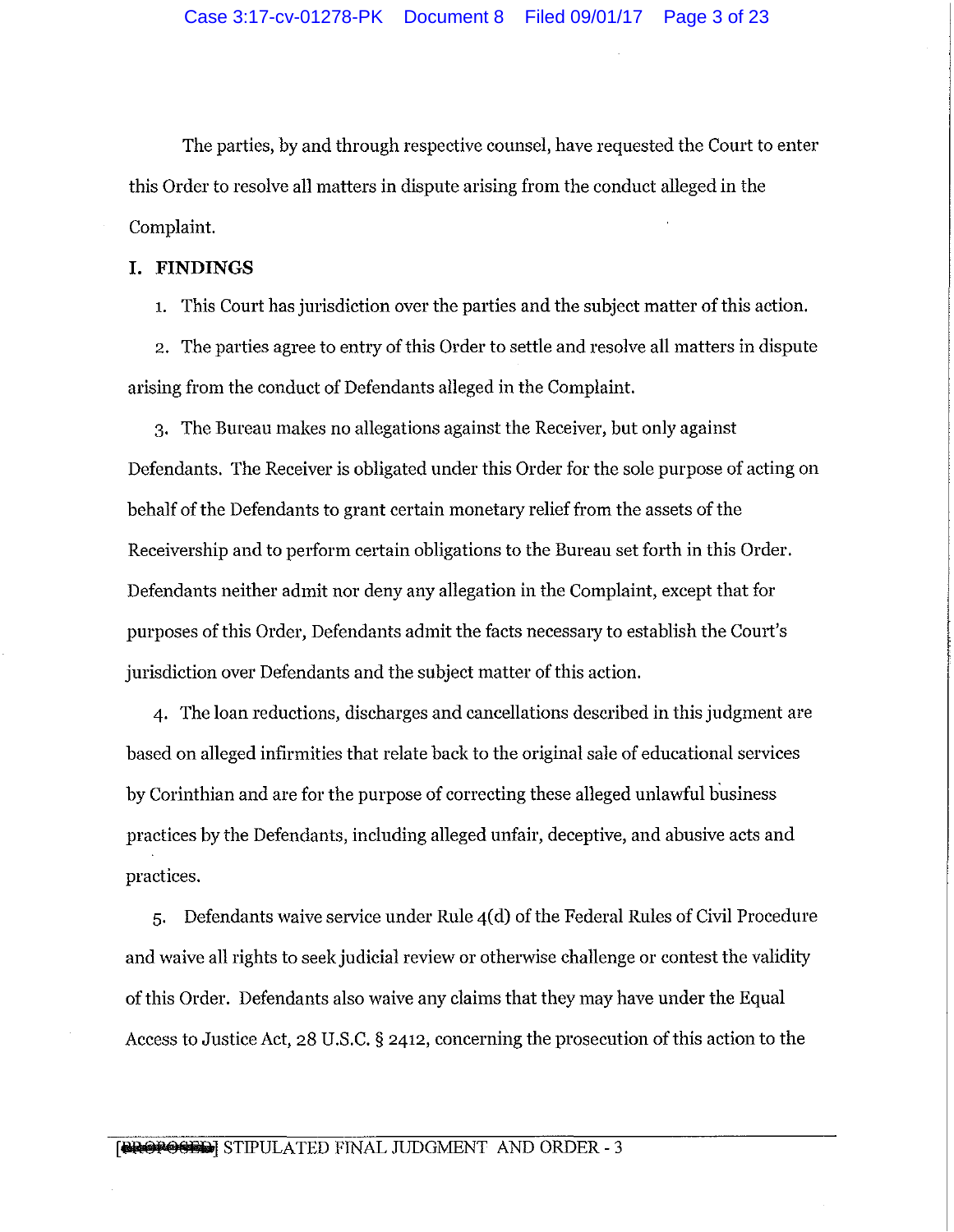The parties, by and through respective counsel, have requested the Court to enter this Order to resolve all matters in dispute arising from the conduct alleged in the Complaint.

# **I. FINDINGS**

1. This Court has jurisdiction over the parties and the subject matter of this action.

2. The parties agree to entry of this Order to settle and resolve all matters in dispute arising from the conduct of Defendants alleged in the Complaint.

3. The Bureau makes no allegations against the Receiver, but only against Defendants. The Receiver is obligated under this Order for the sole purpose of acting on behalf of the Defendants to grant certain monetary relief from the assets of the Receivership and to perform certain obligations to the Bureau set forth in this Order. Defendants neither admit nor deny any allegation in the Complaint, except that for purposes of this Order, Defendants admit the facts necessary to establish the Comt's jurisdiction over Defendants and the subject matter of this action.

4. The loan reductions, discharges and cancellations described in this judgment are based on alleged infirmities that relate back to the original sale of educational services by Corinthian and are for the purpose of correcting these alleged unlawful business practices by the Defendants, including alleged unfair, deceptive, and abusive acts and practices.

5. Defendants waive service under Rule 4( d) of the Federal Rules of Civil Procedure and waive all rights to seek judicial review or otherwise challenge or contest the validity of this Order. Defendants also waive any claims that they may have under the Equal Access to Justice Act, 28 U.S.C. § 2412, concerning the prosecution of this action to the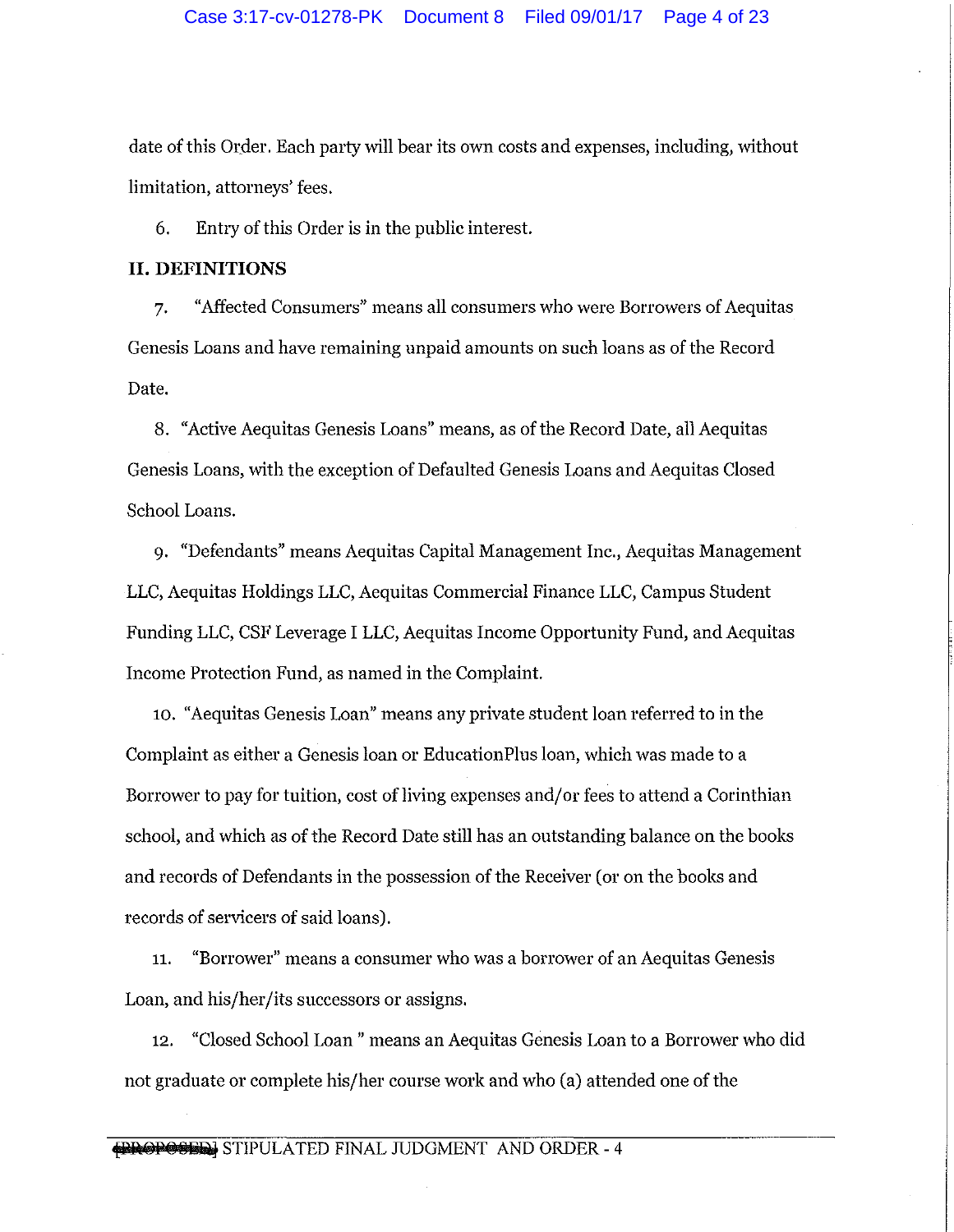date of this Order. Each party will bear its own costs and expenses, including, without limitation, attorneys' fees.

6. Entry of this Order is in the public interest.

## **II. DEFINITIONS**

7. "Affected Consumers" means all consumers who were Borrowers of Aequitas Genesis Loans and have remaining unpaid amounts on such loans as of the Record Date.

8. "Active Aequitas Genesis Loans" means, as of the Record Date, all Aequitas Genesis Loans, with the exception of Defaulted Genesis Loans and Aequitas Closed School Loans.

9. "Defendants" means Aequitas Capital Management Inc., Aequitas Management LLC, Aequitas Holdings LLC, Aequitas Commercial Finance LLC, Campus Student Funding LLC, CSF Leverage I LLC, Aequitas Income Opportunity Fund, and Aequitas Income Protection Fund, as named in the Complaint.

10. "Aequitas Genesis Loan" means any private student loan referred to in the Complaint as either a Genesis loan or EducationPlus loan, which was made to a Borrower to pay for tuition, cost of living expenses and/or fees to attend a Corinthian school, and which as of the Record Date still has an outstanding balance on the books and records of Defendants in the possession of the Receiver (or on the books and records of servicers of said loans).

11. "Borrower" means a consumer who was a borrower of an Aequitas Genesis Loan, and his/her/its successors or assigns.

12. "Closed School Loan" means an Aequitas Genesis Loan to a Borrower who did not graduate or complete his/her course work and who (a) attended one of the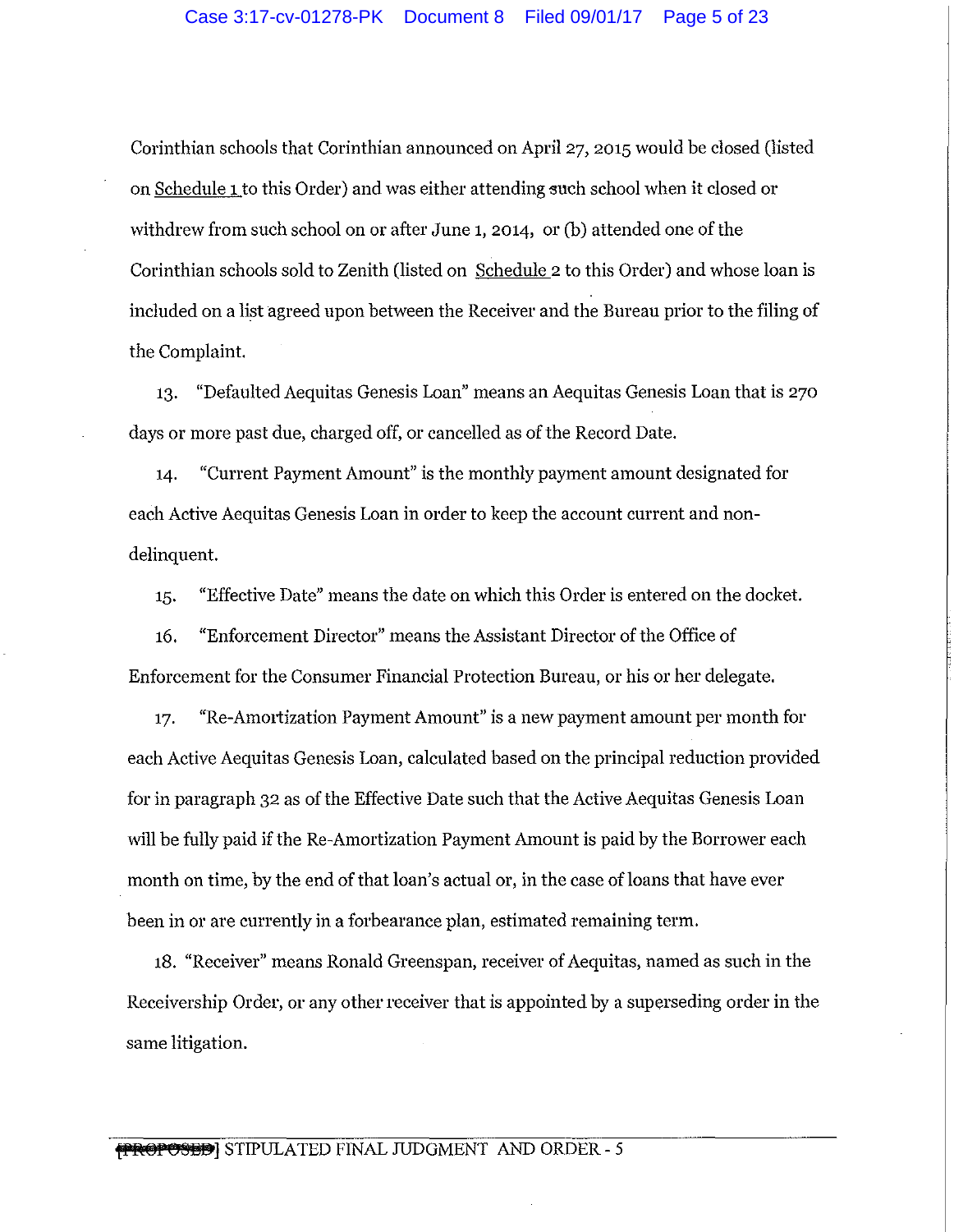Corinthian schools that Corinthian announced on April 27, 2015 would be closed (listed on Schedule 1 to this Order) and was either attending such school when it closed or withdrew from such school on or after June 1, 2014, or (b) attended one of the Corinthian schools sold to Zenith (listed on Schedule 2 to this Order) and whose loan is included on a list agreed upon between the Receiver and the Bureau prior to the filing of the Complaint.

13. "Defaulted Aequitas Genesis Loan" means an Aequitas Genesis Loan that is 270 days or more past due, charged off, or cancelled as of the Record Date.

14. "Current Payment Amount" is the monthly payment amount designated for each Active Aequitas Genesis Loan in order to keep the account current and nondelinquent.

15. "Effective Date" means the date on which this Order is entered on the docket.

16. "Enforcement Director" means the Assistant Director of the Office of Enforcement for the Consumer Financial Protection Bureau, or his or her delegate.

17. "Re-Amortization Payment Amount" is a new payment amount per month for each Active Aequitas Genesis Loan, calculated based on the principal reduction provided for in paragraph 32 as of the Effective Date such that the Active Aequitas Genesis Loan will be fully paid if the Re-Amortization Payment Amount is paid by the Borrower each month on time, by the end of that loan's actual or, in the case of loans that have ever been in or are currently in a forbearance plan, estimated remaining term.

18. "Receiver" means Ronald Greenspan, receiver of Aequitas, named as such in the Receivership Order, or any other receiver that is appointed by a superseding order in the same litigation.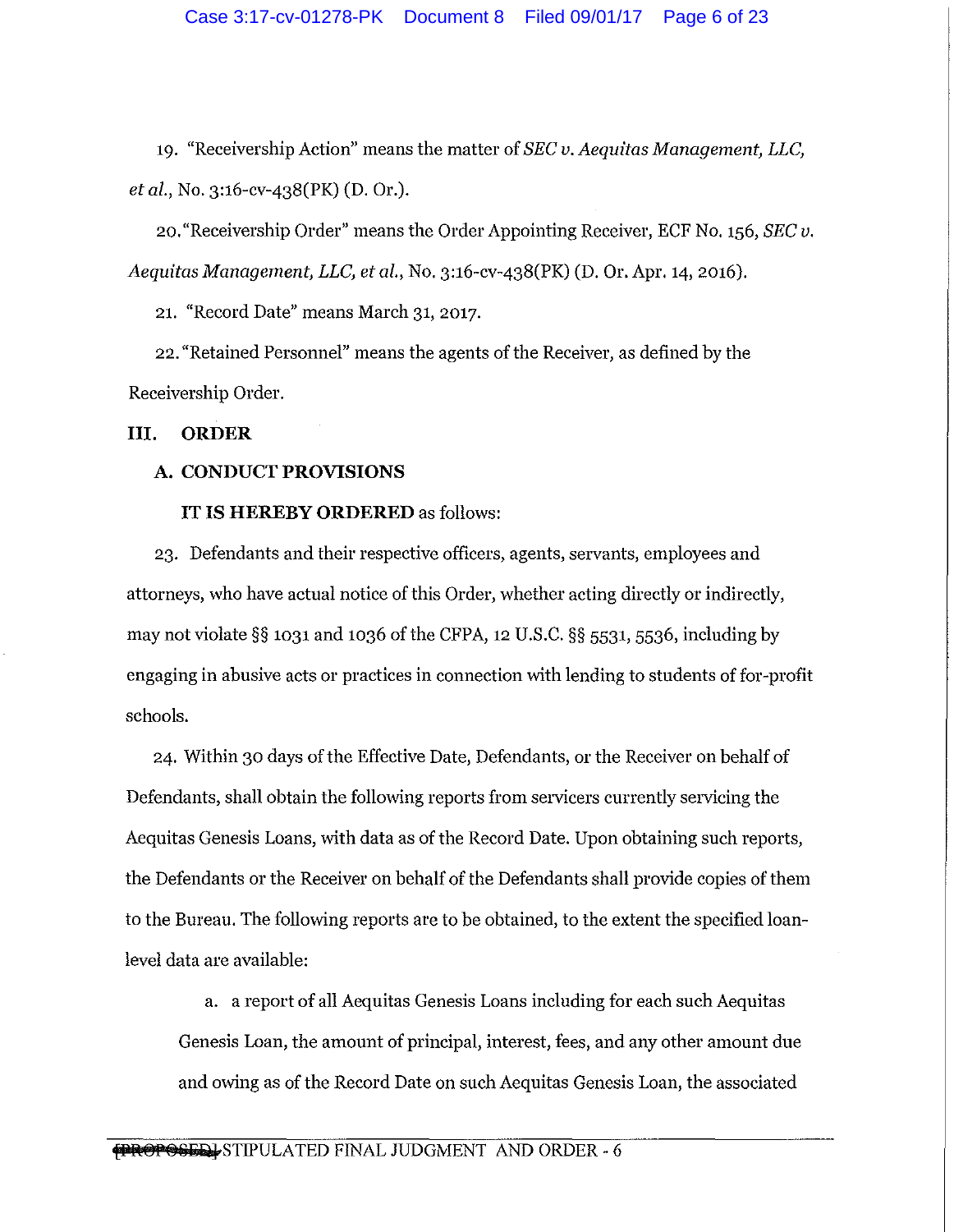19. "Receivership Action" means the matter of *SEC v. Aequitas Management, LLC, et al.,* No. 3:16-cv-438(PK) (D. Or.).

20. "Receivership Order" means the Order Appointing Receiver, ECF No. 156, *SEC v. Aequitas Management, LLC, et al., No.* 3:16-cv-438(PK) (D. Or. Apr. 14, 2016).

21. "Record Date" means March 31, 2017.

22. "Retained Personnel" means the agents of the Receiver, as defined by the Receivership Order.

**III. ORDER** 

# **A. CONDUCT PROVISIONS**

## **IT IS HEREBY ORDERED** as follows:

23. Defendants and their respective officers, agents, servants, employees and attorneys, who have actual notice of this Order, whether acting directly or indirectly, may not violate §§ 1031 and 1036 of the CFPA, 12 U.S.C. §§ 5531, 5536, including by engaging in abusive acts or practices in connection with lending to students of for-profit schools.

24. Within 30 days of the Effective Date, Defendants, or the Receiver on behalf of Defendants, shall obtain the following reports from servicers currently servicing the Aequitas Genesis Loans, with data as of the Record Date. Upon obtaining such reports, the Defendants or the Receiver on behalf of the Defendants shall provide copies of them to the Bureau. The following reports are to be obtained, to the extent the specified loanlevel data are available:

a. a report of all Aequitas Genesis Loans including for each such Aequitas Genesis Loan, the amount of principal, interest, fees, and any other amount due and owing as of the Record Date on such Aequitas Genesis Loan, the associated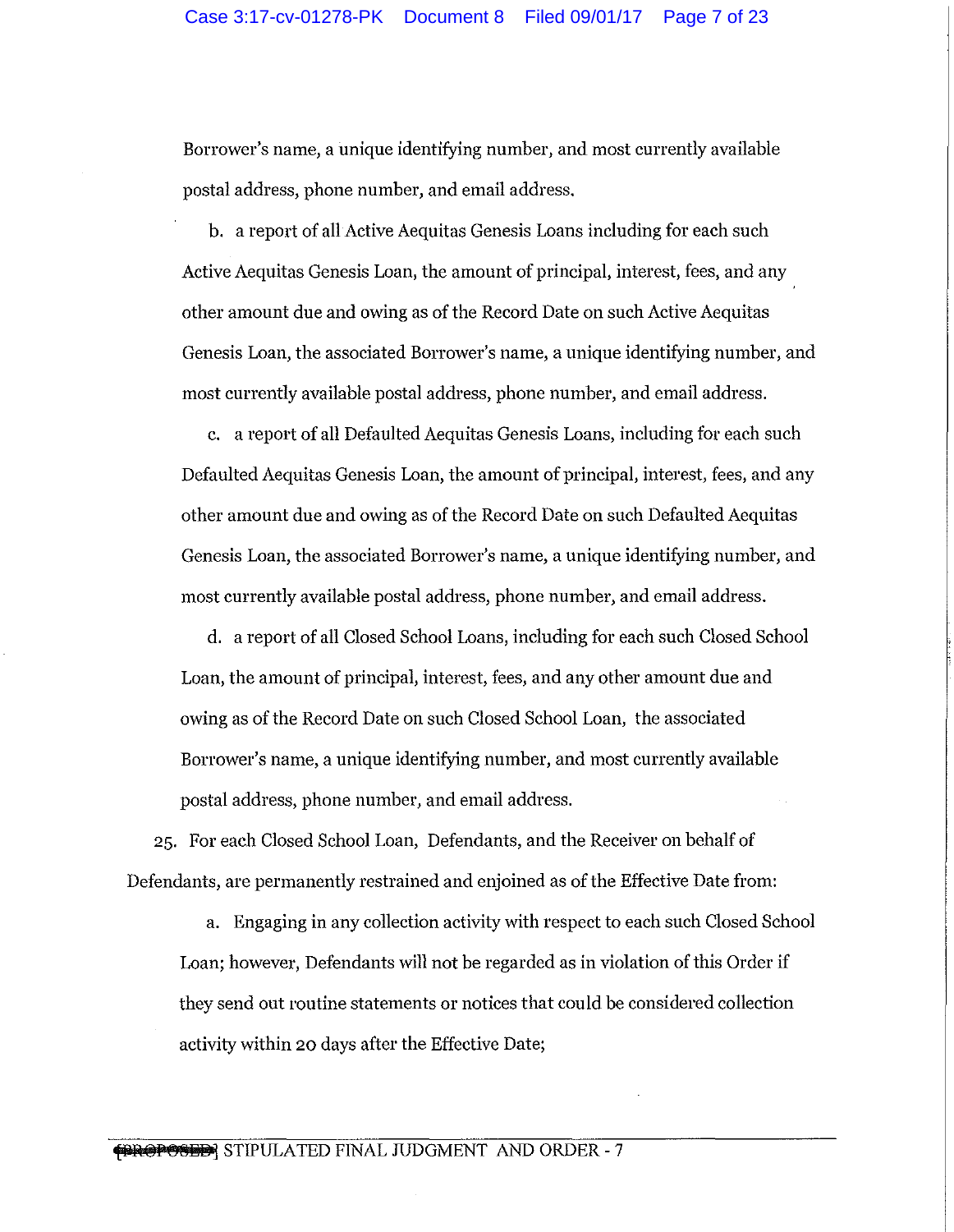Borrower's name, a unique identifying number, and most currently available postal address, phone number, and email address.

b. a report of all Active Aequitas Genesis Loans including for each such Active Aequitas Genesis Loan, the amount of principal, interest, fees, and any other amount due and owing as of the Record Date on such Active Aequitas Genesis Loan, the associated Borrower's name, a unique identifying number, and most currently available postal address, phone number, and email address.

c. a report of all Defaulted Aequitas Genesis Loans, including for each such Defaulted Aequitas Genesis Loan, the amount of principal, interest, fees, and any other amount due and owing as of the Record Date on such Defaulted Aequitas Genesis Loan, the associated Borrower's name, a unique identifying number, and most currently available postal address, phone number, and email address.

d. a report of all Closed School Loans, including for each such Closed School Loan, the amount of principal, interest, fees, and any other amount due and owing as of the Record Date on such Closed School Loan, the associated Borrower's name, a unique identifying number, and most currently available postal address, phone number, and email address.

25. For each Closed School Loan, Defendants, and the Receiver on behalf of Defendants, are permanently restrained and enjoined as of the Effective Date from:

a. Engaging in any collection activity with respect to each such Closed School Loan; however, Defendants will not be regarded as in violation of this Order if they send out routine statements or notices that could be considered collection activity within 20 days after the Effective Date;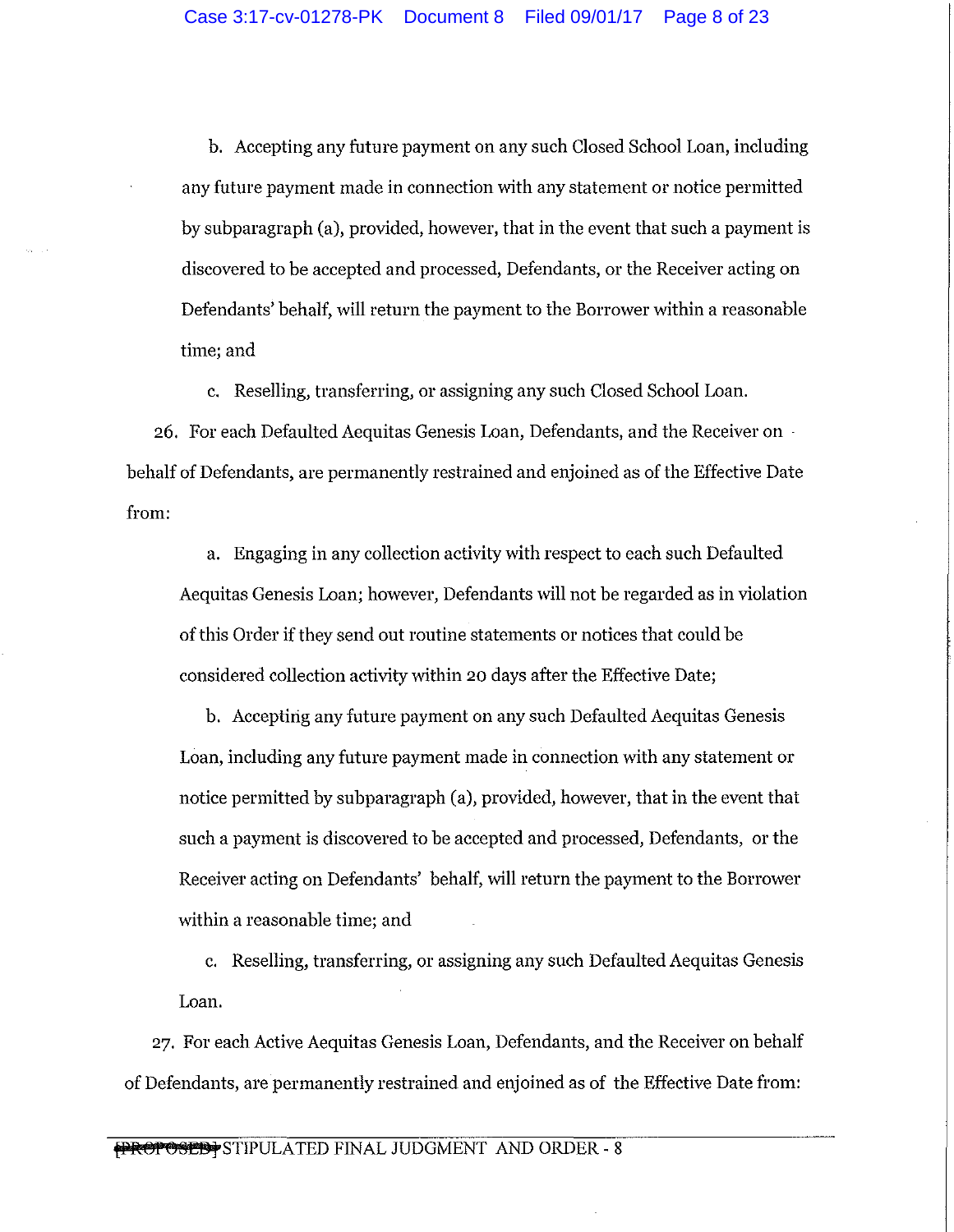b. Accepting any future payment on any such Closed School Loan, including any future payment made in connection with any statement or notice permitted by subparagraph (a), provided, however, that in the event that such a payment is discovered to be accepted and processed, Defendants, or the Receiver acting on Defendants' behalf, will return the payment to the Borrower within a reasonable time; and

c. Reselling, transferring, or assigning any such Closed School Loan.

26. For each Defaulted Aequitas Genesis Loan, Defendants, and the Receiver on · behalf of Defendants, are permanently restrained and enjoined as of the Effective Date from:

a. Engaging in any collection activity with respect to each such Defaulted Aequitas Genesis Loan; however, Defendants will not be regarded as in violation of this Order if they send out routine statements or notices that could be considered collection activity within 20 days after the Effective Date;

b. Accepting any future payment on any such Defaulted Aequitas Genesis Loan, including any future payment made in connection with any statement or notice permitted by subparagraph (a), provided, however, that in the event that such a payment is discovered to be accepted and processed, Defendants, or the Receiver acting on Defendants' behalf, will return the payment to the Borrower within a reasonable time; and

c. Reselling, transferring, or assigning any such Defaulted Aequitas Genesis Loan.

27. For each Active Aequitas Genesis Loan, Defendants, and the Receiver on behalf of Defendants, are permanently restrained and enjoined as of the Effective Date from: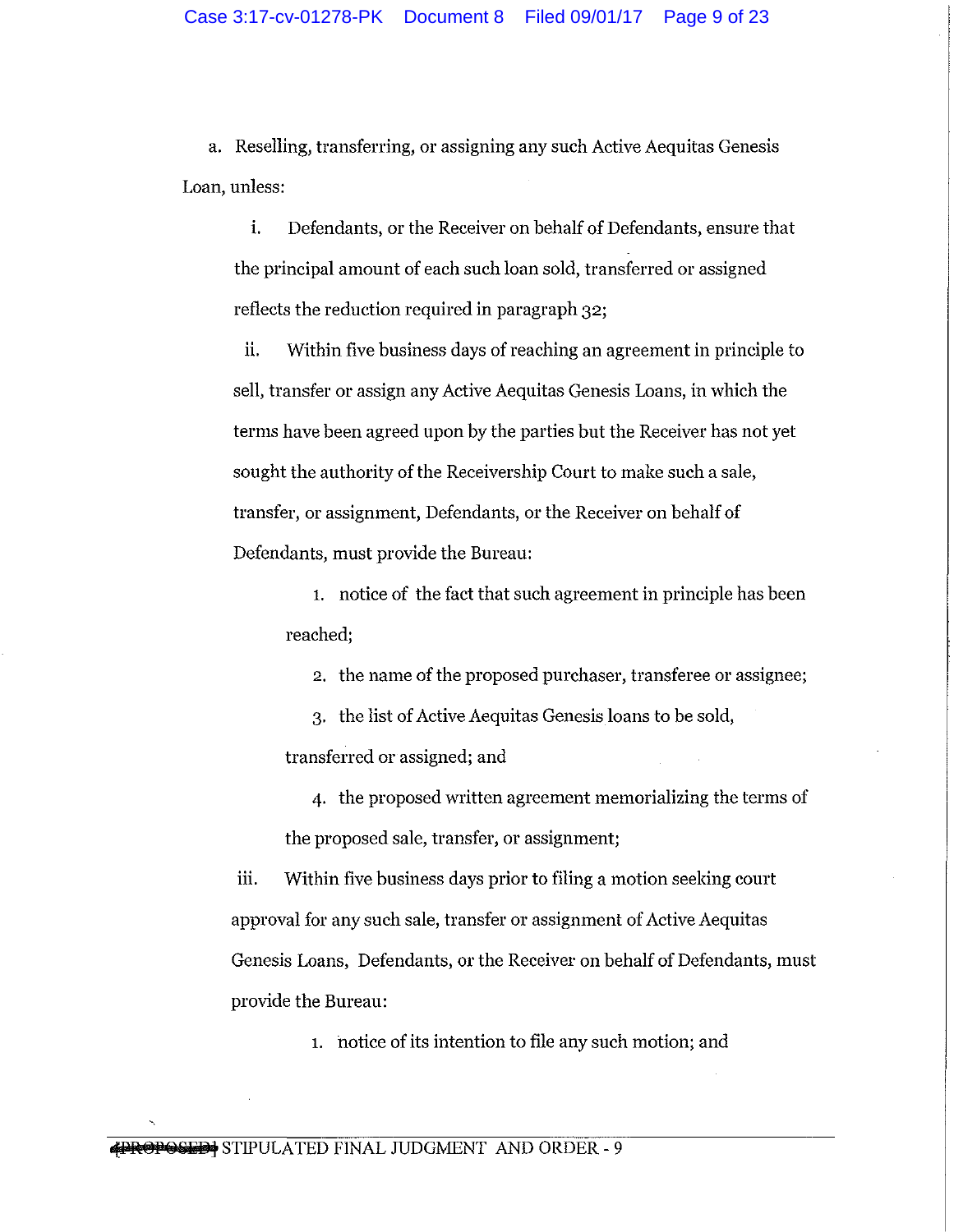a. Reselling, transferring, or assigning any such Active Aequitas Genesis Loan, unless:

i. Defendants, or the Receiver on behalf of Defendants, ensure that the principal amount of each such loan sold, transferred or assigned reflects the reduction required in paragraph 32;

ii. Within five business days of reaching an agreement in principle to sell, transfer or assign any Active Aequitas Genesis Loans, in which the terms have been agreed upon by the parties but the Receiver has not yet sought the authority of the Receivership Court to make such a sale, transfer, or assignment, Defendants, or the Receiver on behalf of Defendants, must provide the Bureau:

1. notice of the fact that such agreement in principle has been reached;

2. the name of the proposed purchaser, transferee or assignee;

3. the list of Active Aequitas Genesis loans to be sold, transferred or assigned; and

4. the proposed written agreement memorializing the terms of the proposed sale, transfer, or assignment;

iii. Within five business days prior to filing a motion seeking court approval for any such sale, transfer or assignment of Active Aequitas Genesis Loans, Defendants, or the Receiver on behalf of Defendants, must provide the Bureau:

1. notice of its intention to file any such motion; and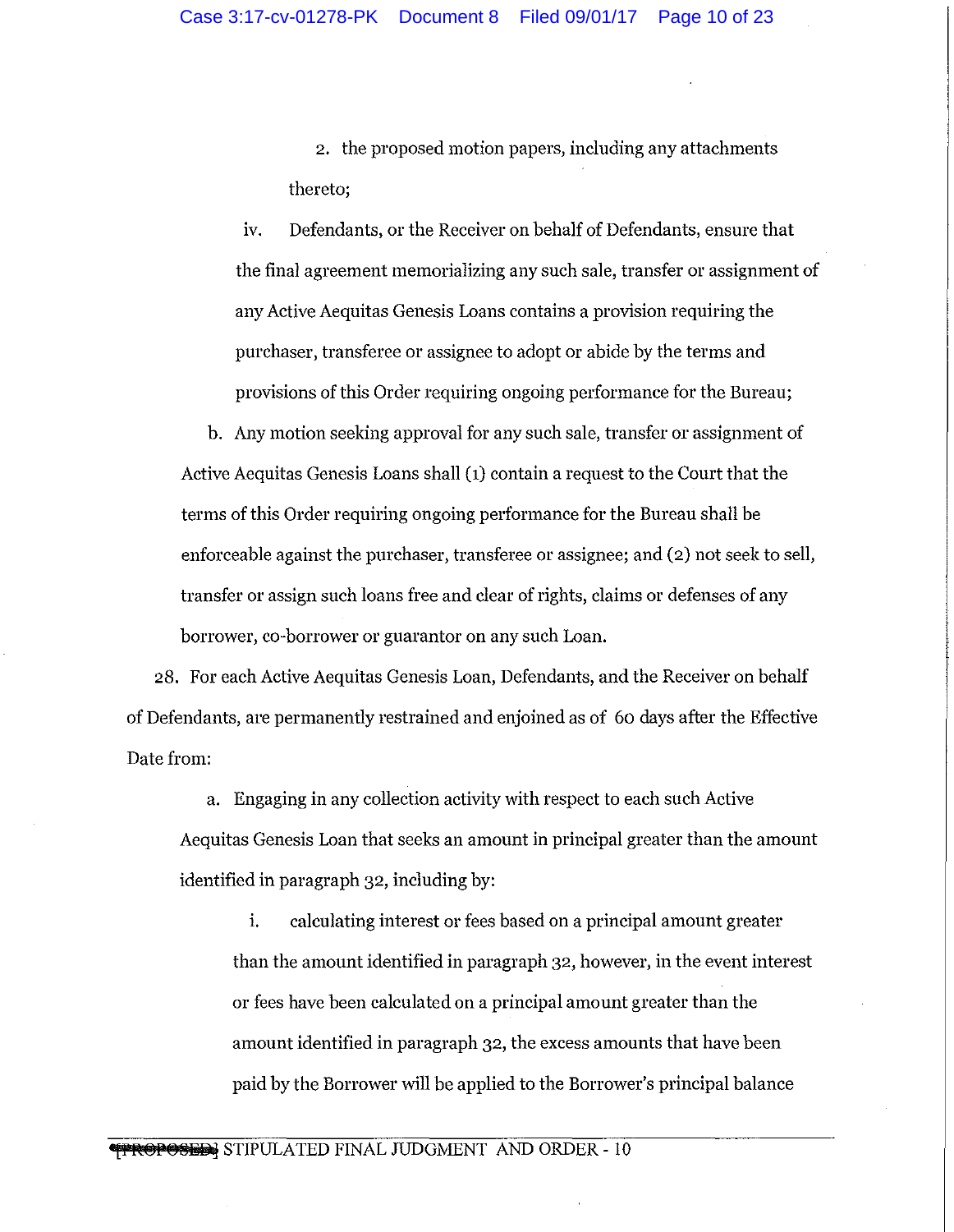2. the proposed motion papers, including any attachments thereto;

iv. Defendants, or the Receiver on behalf of Defendants, ensure that the final agreement memorializing any such sale, transfer or assignment of any Active Aequitas Genesis Loans contains a provision requiring the purchaser, transferee or assignee to adopt or abide by the terms and provisions of this Order requiring ongoing performance for the Bureau;

b. Any motion seeking approval for any such sale, transfer or assignment of Active Aequitas Genesis Loans shall (1) contain a request to the Court that the terms of this Order requiring ongoing performance for the Bureau shall be enforceable against the purchaser, transferee or assignee; and (2) not seek to sell, transfer or assign such loans free and clear of rights, claims or defenses of any borrower, co-borrower or guarantor on any such Loan.

28. For each Active Aequitas Genesis Loan, Defendants, and the Receiver on behalf of Defendants, are permanently restrained and enjoined as of 60 days after the Effective Date from:

a. Engaging in any collection activity with respect to each such Active Aequitas Genesis Loan that seeks an amount in principal greater than the amount identified in paragraph 32, including by:

i. calculating interest or fees based on a principal amount greater than the amount identified in paragraph 32, however, in the event interest or fees have been calculated on a principal amount greater than the amount identified in paragraph 32, the excess amounts that have been paid by the Borrower will be applied to the Borrower's principal balance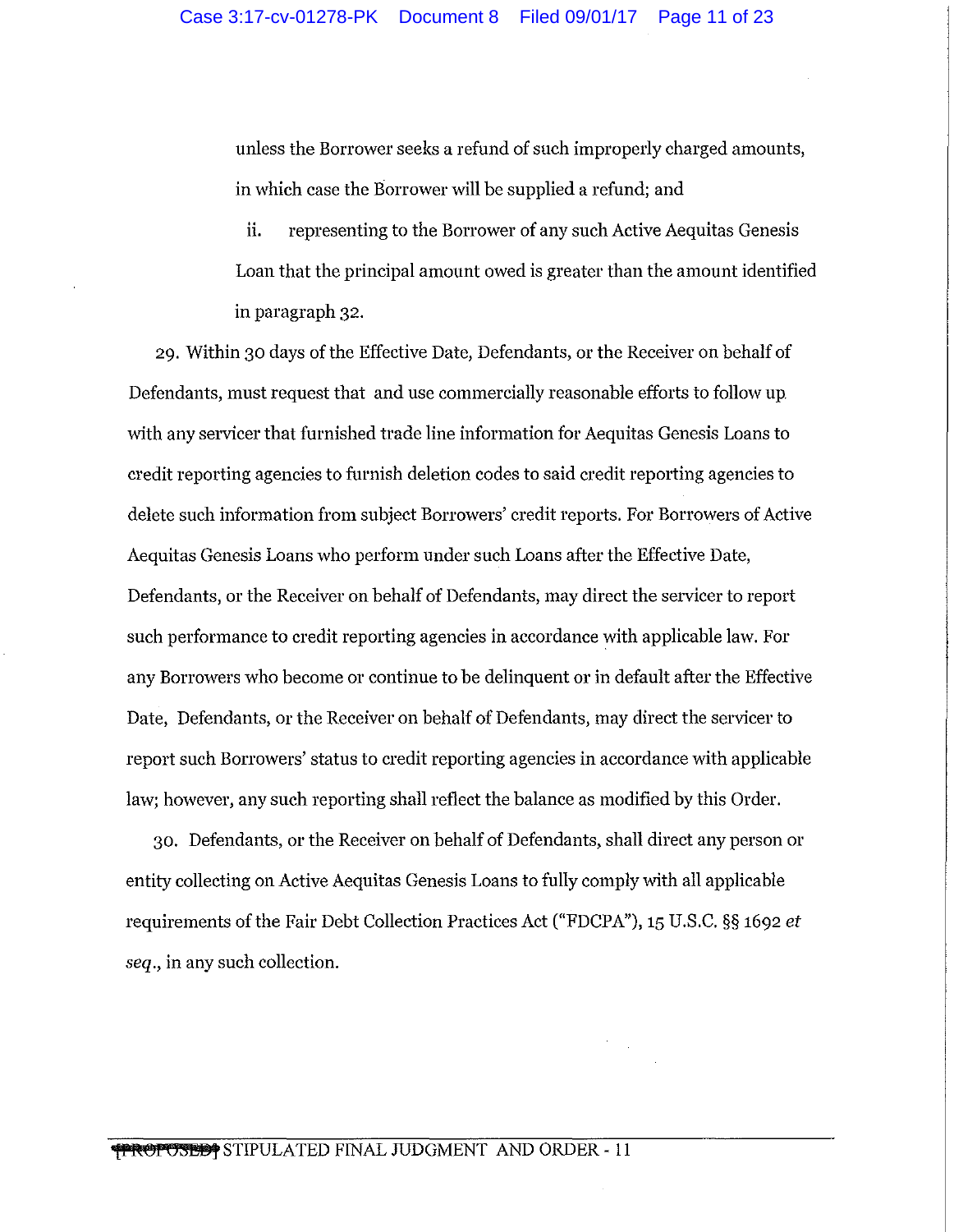unless the Borrower seeks a refund of such improperly charged amounts, in which case the Borrower will be supplied a refund; and

ii. representing to the Borrower of any such Active Aequitas Genesis Loan that the principal amount owed is greater than the amount identified in paragraph 32.

29. Within 30 days of the Effective Date, Defendants, or the Receiver on behalf of Defendants, must request that and use commercially reasonable efforts to follow up with any servicer that furnished trade line information for Aequitas Genesis Loans to credit reporting agencies to furnish deletion codes to said credit reporting agencies to delete such information from subject Borrowers' credit reports. For Borrowers of Active Aequitas Genesis Loans who perform under such Loans after the Effective Date, Defendants, or the Receiver on behalf of Defendants, may direct the servicer to report such performance to credit reporting agencies in accordance with applicable law. For any Borrowers who become or continue to be delinquent or in default after the Effective Date, Defendants, or the Receiver on behalf of Defendants, may direct the servicer to report such Borrowers' status to credit reporting agencies in accordance with applicable law; however, any such reporting shall reflect the balance as modified by this Order.

30. Defendants, or the Receiver on behalf of Defendants, shall direct any person or entity collecting on Active Aequitas Genesis Loans to fully comply with all applicable requirements of the Fair Debt Collection Practices Act ("FDCPA"), 15 U.S.C. §§ 1692 *et seq.,* in any such collection.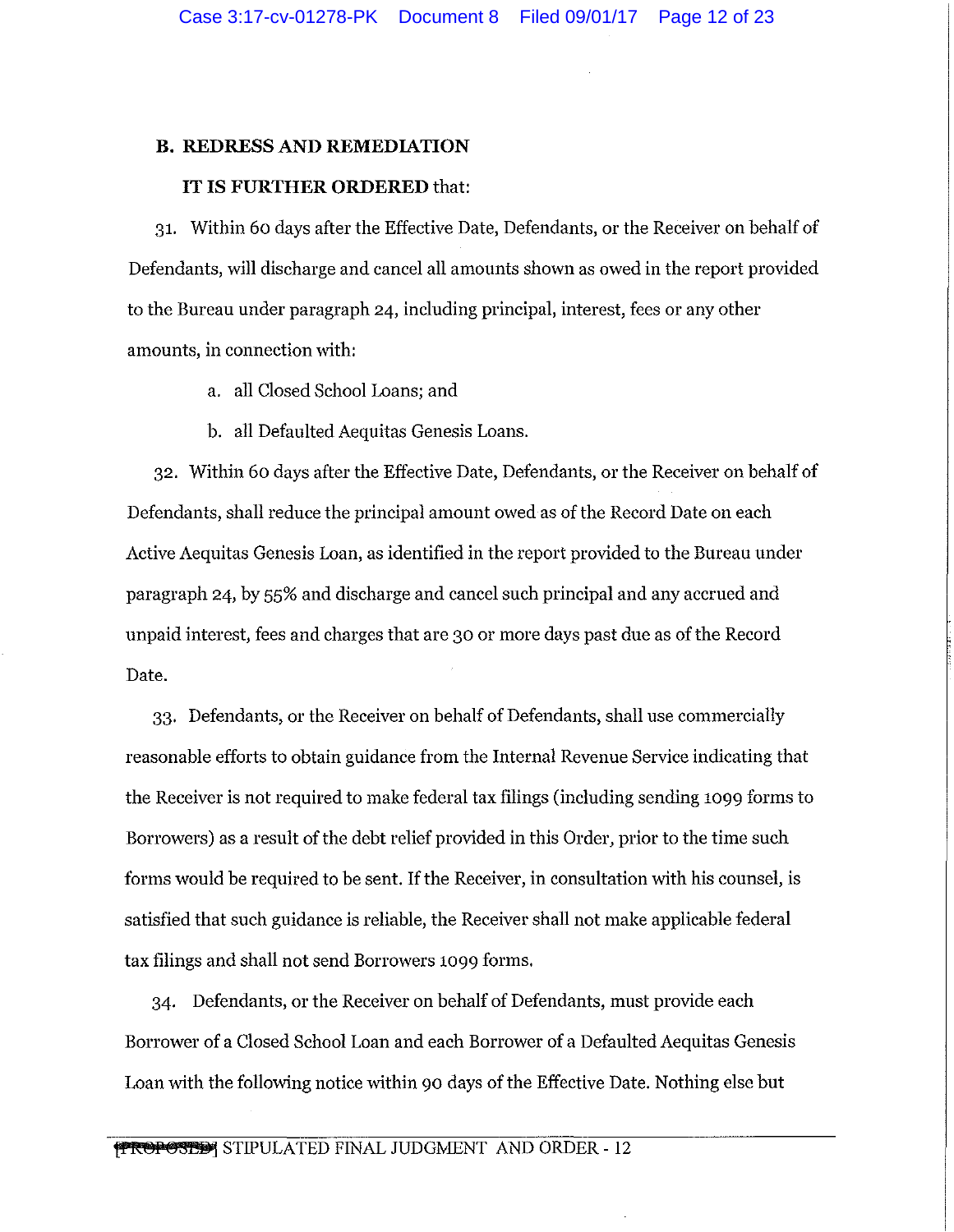#### **B. REDRESS AND REMEDIATION**

#### IT IS **FURTHER ORDERED** that:

31. Within 60 days after the Effective Date, Defendants, or the Receiver on behalf of Defendants, will discharge and cancel all amounts shown as owed in the report provided to the Bureau under paragraph 24, including principal, interest, fees or any other amounts, in connection with:

- a. all Closed School Loans; and
- b. all Defaulted Aequitas Genesis Loans.

32. Within 60 days after the Effective Date, Defendants, or the Receiver on behalf of Defendants, shall reduce the principal amount owed as of the Record Date on each Active Aequitas Genesis Loan, as identified in the report provided to the Bureau under paragraph 24, by 55% and discharge and cancel such principal and any accrued and unpaid interest, fees and charges that are 30 or more days past due as of the Record Date.

33. Defendants, or the Receiver on behalf of Defendants, shall use commercially reasonable efforts to obtain guidance from the Internal Revenue Service indicating that the Receiver is not required to make federal tax filings (including sending 1099 forms to Borrowers) as a result of the debt relief provided in this Order, prior to the time such forms would be required to be sent. If the Receiver, in consultation with his counsel, is satisfied that such guidance is reliable, the Receiver shall not make applicable federal tax filings and shall not send Borrowers 1099 forms.

34. Defendants, or the Receiver on behalf of Defendants, must provide each Borrower of a Closed School Loan and each Borrower of a Defaulted Aequitas Genesis Loan with the following notice within 90 days of the Effective Date. Nothing else but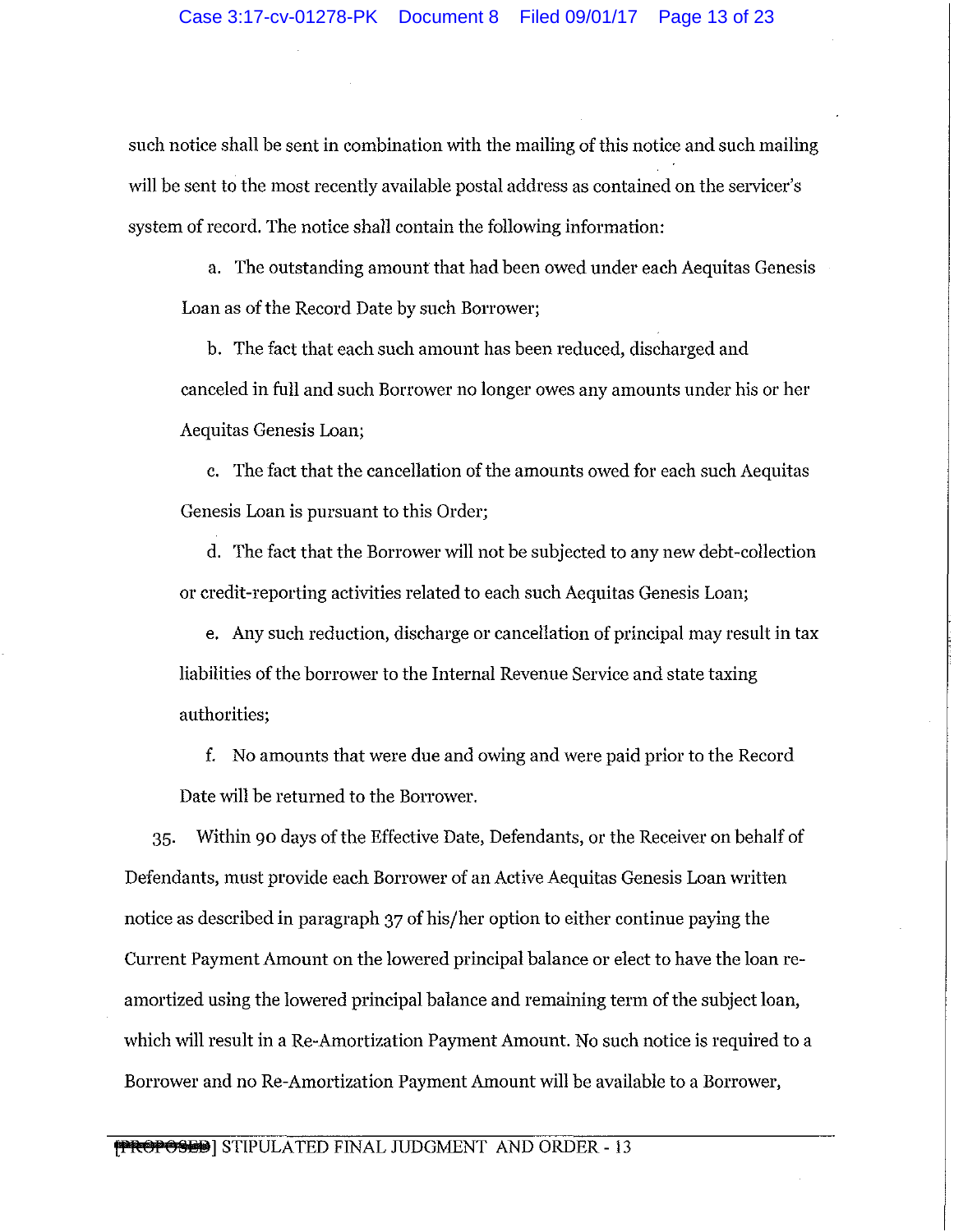such notice shall be sent in combination with the mailing of this notice and such mailing will be sent to the most recently available postal address as contained on the servicer's system of record. The notice shall contain the following information:

a. The outstanding amount that had been owed under each Aequitas Genesis Loan as of the Record Date by such Borrower;

b. The fact that each such amount has been reduced, discharged and canceled in full and such Borrower no longer owes any amounts under his or her Aequitas Genesis Loan;

c. The fact that the cancellation of the amounts owed for each such Aequitas Genesis Loan is pursuant to this Order;

d. The fact that the Borrower will not be subjected to any new debt-collection or credit-reporting activities related to each such Aequitas Genesis Loan;

e. Any such reduction, discharge or cancellation of principal may result in tax liabilities of the borrower to the Internal Revenue Service and state taxing authorities;

f. No amounts that were due and owing and were paid prior to the Record Date will be returned to the Borrower.

35. Within 90 days of the Effective Date, Defendants, or the Receiver on behalf of Defendants, must provide each Borrower of an Active Aequitas Genesis Loan written notice as described in paragraph 37 of his/her option to either continue paying the Current Payment Amount on the lowered principal balance or elect to have the loan reamortized using the lowered principal balance and remaining term of the subject loan, which will result in a Re-Amortization Payment Amount. No such notice is required to a Borrower and no Re-Amortization Payment Amount will be available to a Borrower,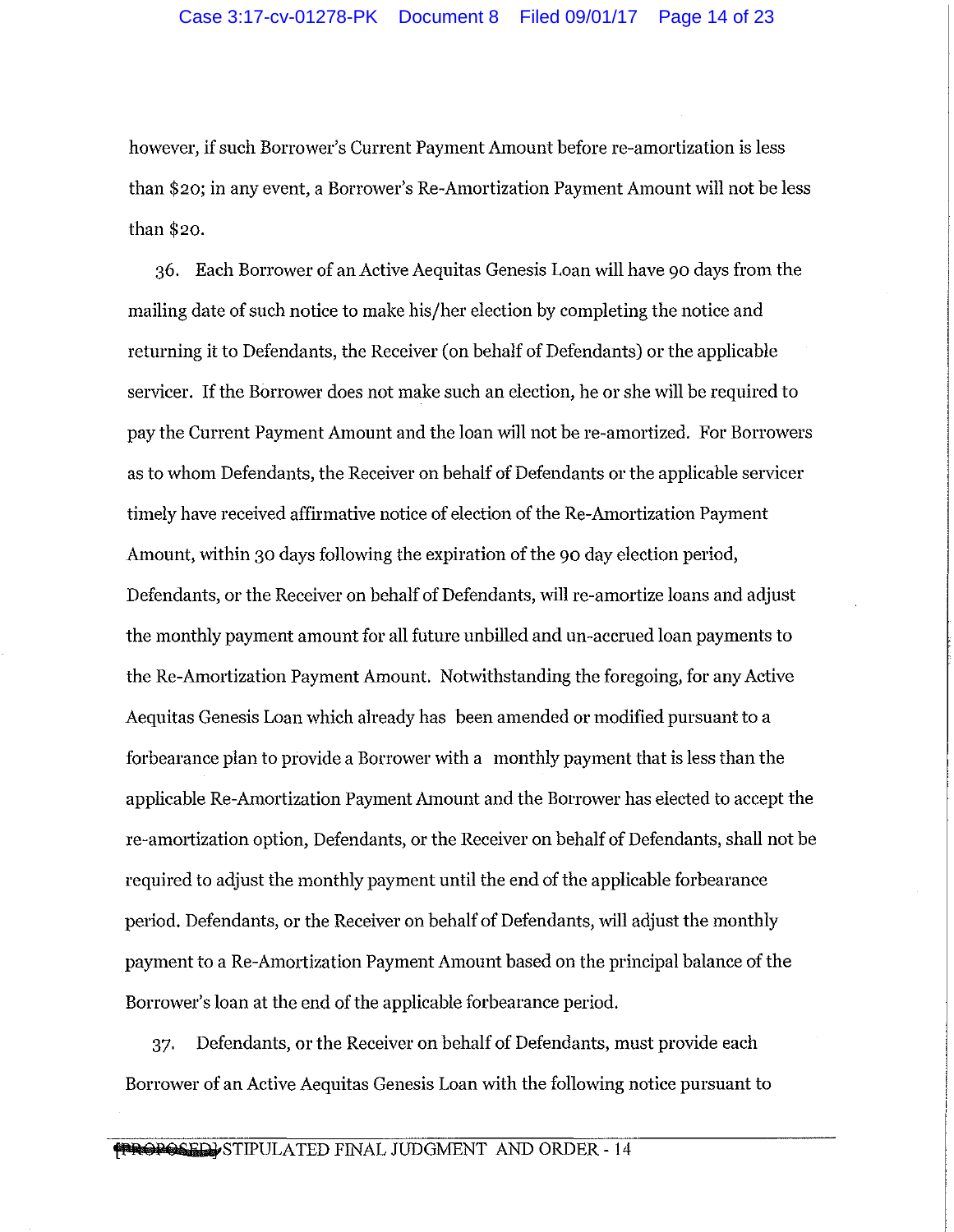however, if such Borrower's Current Payment Amount before re-amortization is less than \$20; in any event, a Borrower's Re-Amortization Payment Amount will not be less than \$20.

36. Each Borrower of an Active Aequitas Genesis Loan will have 90 days from the mailing date of such notice to make his/her election by completing the notice and returning it to Defendants, the Receiver (on behalf of Defendants) or the applicable servicer. If the Borrower does not make such an election, he or she will be required to pay the Current Payment Amount and the loan will not be re-amortized. For Borrowers as to whom Defendants, the Receiver on behalf of Defendants or the applicable servicer timely have received affirmative notice of election of the Re-Amortization Payment Amount, within 30 days following the expiration of the 90 day election period, Defendants, or the Receiver on behalf of Defendants, will re-amortize loans and adjust the monthly payment amount for all future unbilled and un-accrued loan payments to the Re-Amortization Payment Amount. Notwithstanding the foregoing, for any Active Aequitas Genesis Loan which already has been amended or modified pursuant to a forbearance plan to provide a Borrower with a monthly payment that is less than the applicable Re-Amortization Payment Amount and the Borrower has elected to accept the re-am01tization option, Defendants, or the Receiver on behalf of Defendants, shall not be required to adjust the monthly payment until the end of the applicable forbearance period. Defendants, or the Receiver on behalf of Defendants, will adjust the monthly payment to a Re-Amortization Payment Amount based on the principal balance of the Borrower's loan at the end of the applicable forbearance period.

37. Defendants, or the Receiver on behalf of Defendants, must provide each Borrower of an Active Aequitas Genesis Loan with the following notice pursuant to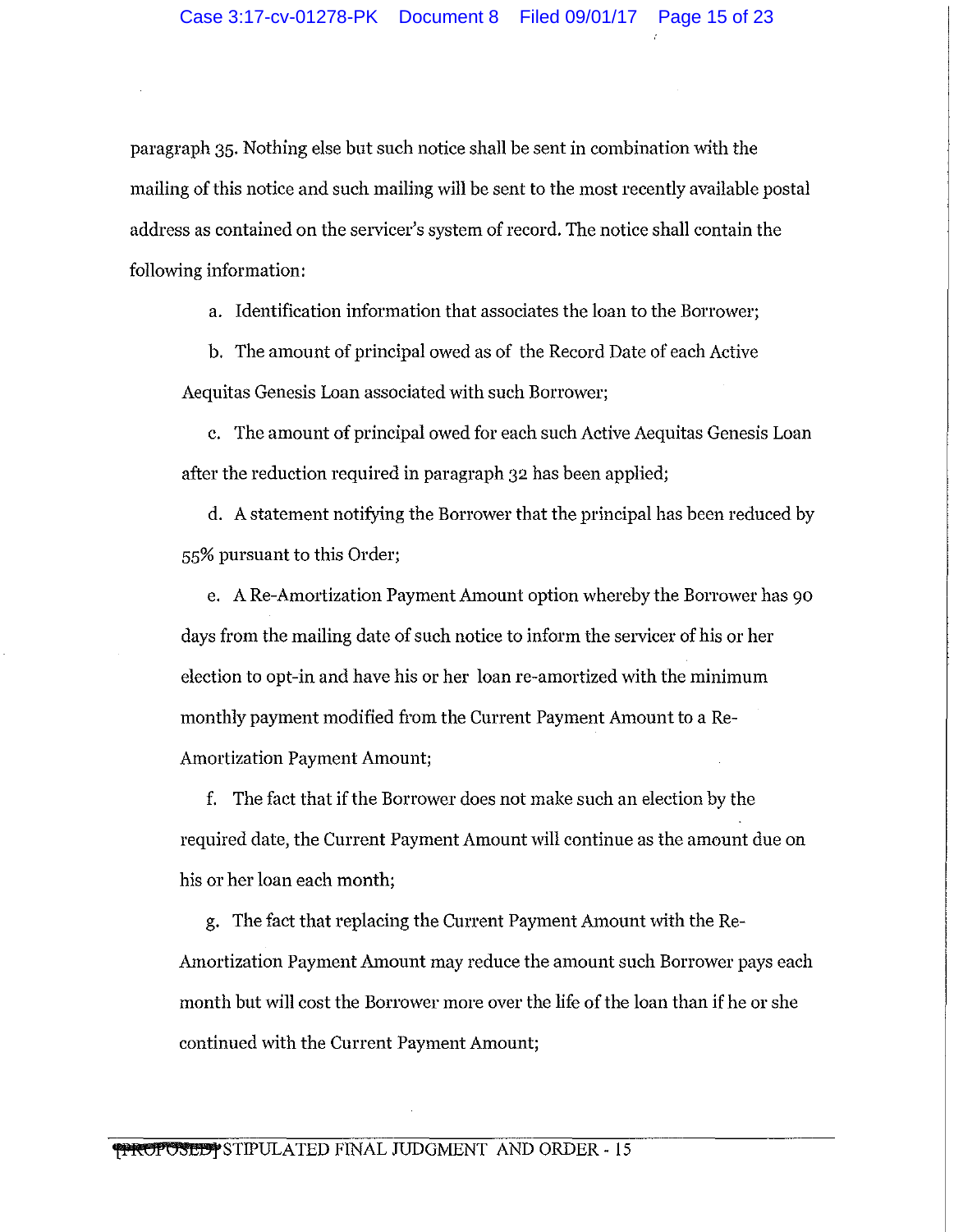paragraph 35. Nothing else but such notice shall be sent in combination with the mailing of this notice and such mailing will be sent to the most recently available postal address as contained on the servicer's system of record. The notice shall contain the following information:

a. Identification information that associates the loan to the Borrower;

b. The amount of principal owed as of the Record Date of each Active Aequitas Genesis Loan associated with such Borrower;

c. The amount of principal owed for each such Active Aequitas Genesis Loan after the reduction required in paragraph 32 has been applied;

d. A statement notifying the Borrower that the principal has been reduced by 55% pursuant to this Order;

e. A Re-Amortization Payment Amount option whereby the Borrower has 90 days from the mailing date of such notice to inform the servicer of his or her election to opt-in and have his or her loan re-amortized with the minimum monthly payment modified from the Current Payment Amount to a Re-Amortization Payment Amount;

f. The fact that if the Borrower does not make such an election by the required date, the Current Payment Amount will continue as the amount due on his or her loan each month;

g. The fact that replacing the Current Payment Amount with the Re-Amortization Payment Amount may reduce the amount such Borrower pays each month but will cost the Borrower more over the life of the loan than if he or she continued with the Current Payment Amount;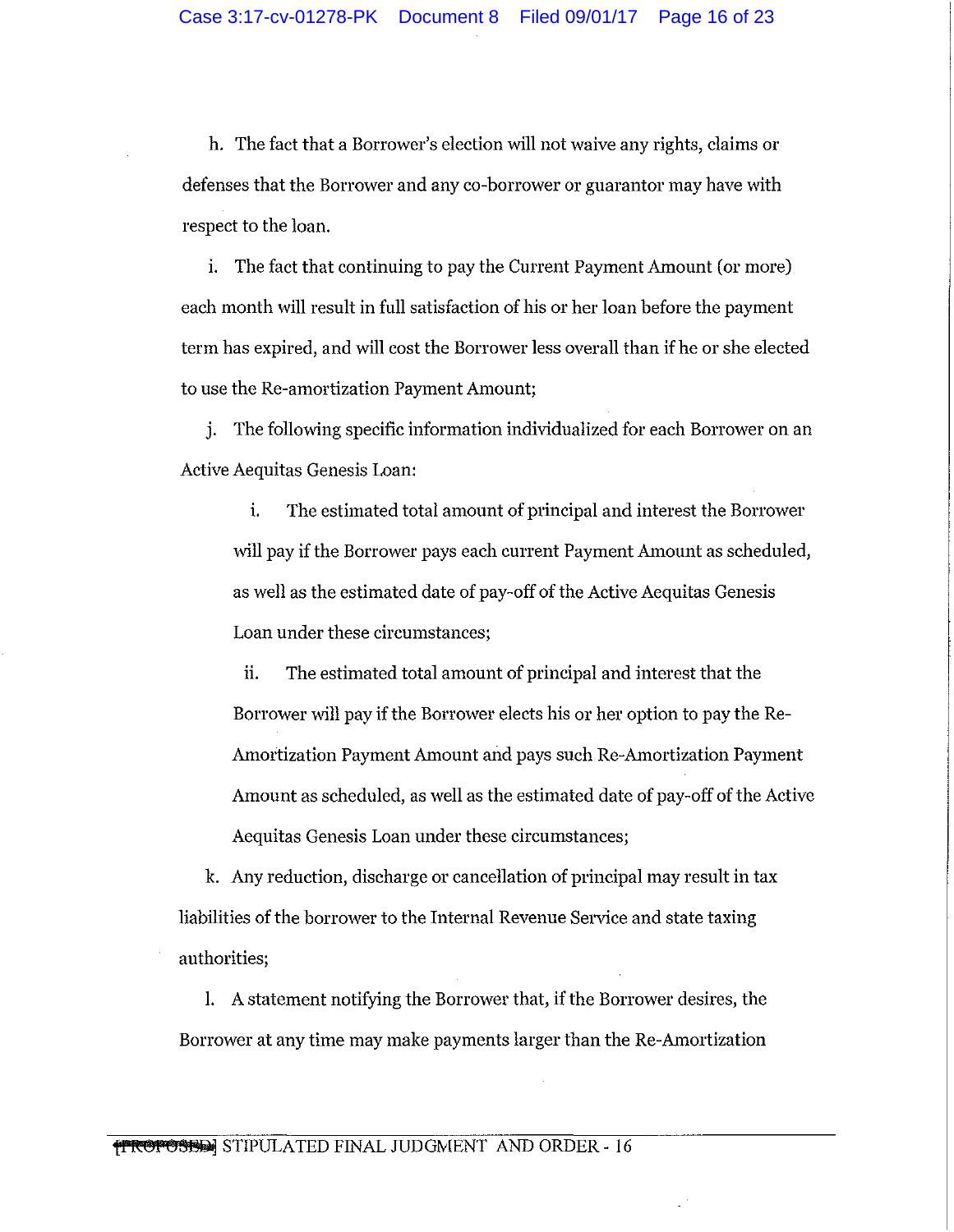h. The fact that a Borrower's election will not waive any rights, claims or defenses that the Borrower and any co-borrower or guarantor may have with respect to the loan.

i. The fact that continuing to pay the Current Payment Amount (or more) each month will result in full satisfaction of his or her loan before the payment term has expired, and will cost the Borrower less overall than if he or she elected to use the Re-amortization Payment Amount;

j. The following specific information individualized for each Borrower on an Active Aequitas Genesis Loan:

i. The estimated total amount of principal and interest the Borrower will pay if the Borrower pays each current Payment Amount as scheduled, as well as the estimated date of pay-off of the Active Aequitas Genesis Loan under these circumstances;

ii. The estimated total amount of principal and interest that the Borrower will pay if the Borrower elects his or her option to pay the Re-Amortization Payment Amount and pays such Re-Amortization Payment Amount as scheduled, as well as the estimated date of pay-off of the Active Aequitas Genesis Loan under these circumstances;

k. Any reduction, discharge or cancellation of principal may result in tax liabilities of the borrower to the Internal Revenue Service and state taxing authorities;

1. A statement notifying the Borrower that, if the Borrower desires, the Borrower at any time may make payments larger than the Re-Amortization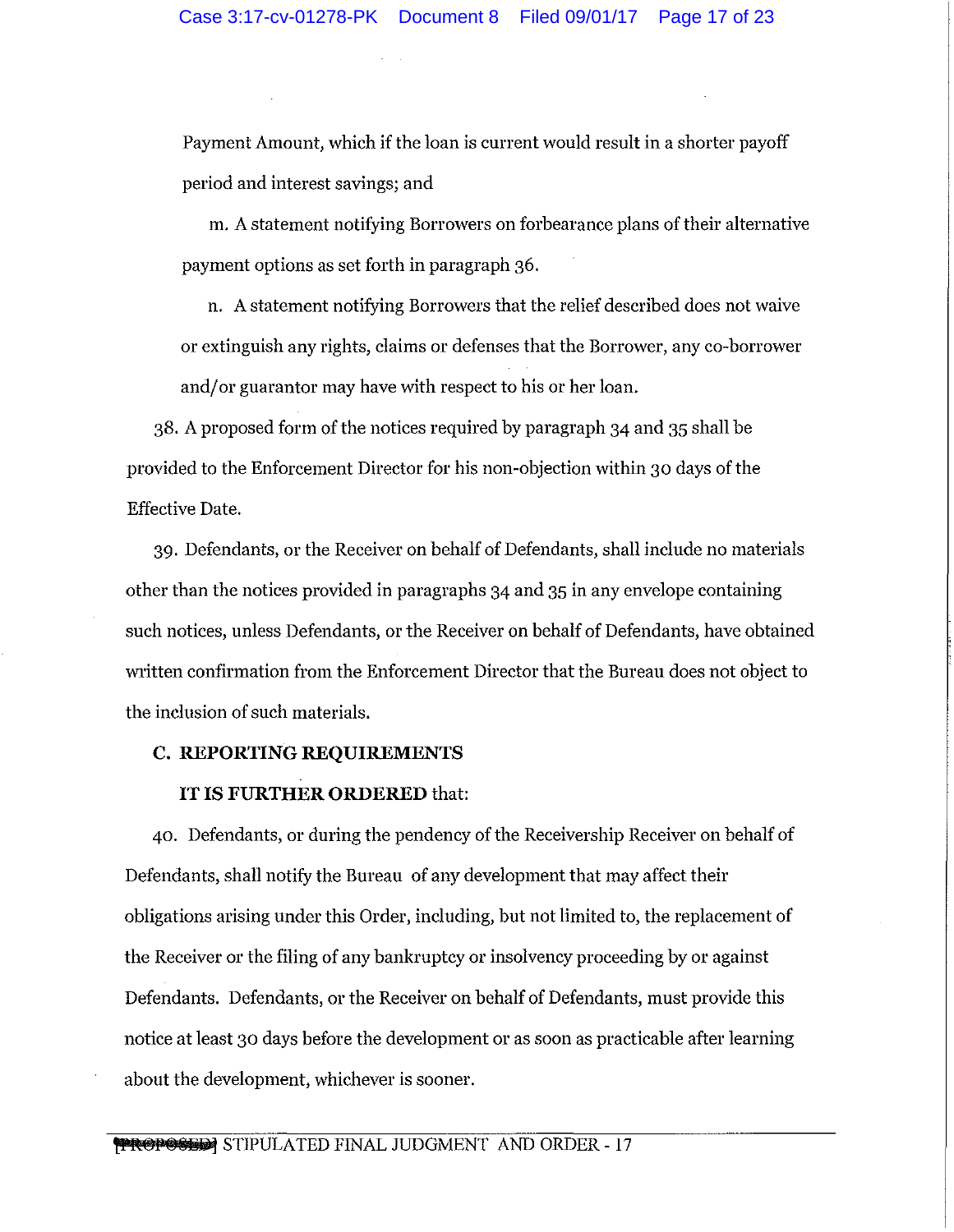Payment Amount, which if the loan is current would result in a shorter payoff period and interest savings; and

m. A statement notifying Borrowers on forbearance plans of their alternative payment options as set forth in paragraph 36.

n. A statement notifying Borrowers that the relief described does not waive or extinguish any rights, claims or defenses that the Borrower, any co-borrower and/ or guarantor may have with respect to his or her loan.

38. A proposed form of the notices required by paragraph 34 and 35 shall be provided to the Enforcement Director for his non-objection within 30 days of the Effective Date.

39. Defendants, or the Receiver on behalf of Defendants, shall include no materials other than the notices provided in paragraphs 34 and 35 in any envelope containing such notices, unless Defendants, or the Receiver on behalf of Defendants, have obtained written confirmation from the Enforcement Director that the Bureau does not object to the inclusion of such materials.

# **C. REPORTING REQUIREMENTS**

# IT IS **FURTHER ORDERED** that:

40. Defendants, or during the pendency of the Receivership Receiver on behalf of Defendants, shall notify the Bureau of any development that may affect their obligations arising under this Order, including, but not limited to, the replacement of the Receiver or the filing of any bankruptcy or insolvency proceeding by or against Defendants. Defendants, or the Receiver on behalf of Defendants, must provide this notice at least 30 days before the development or as soon as practicable after learning about the development, whichever is sooner.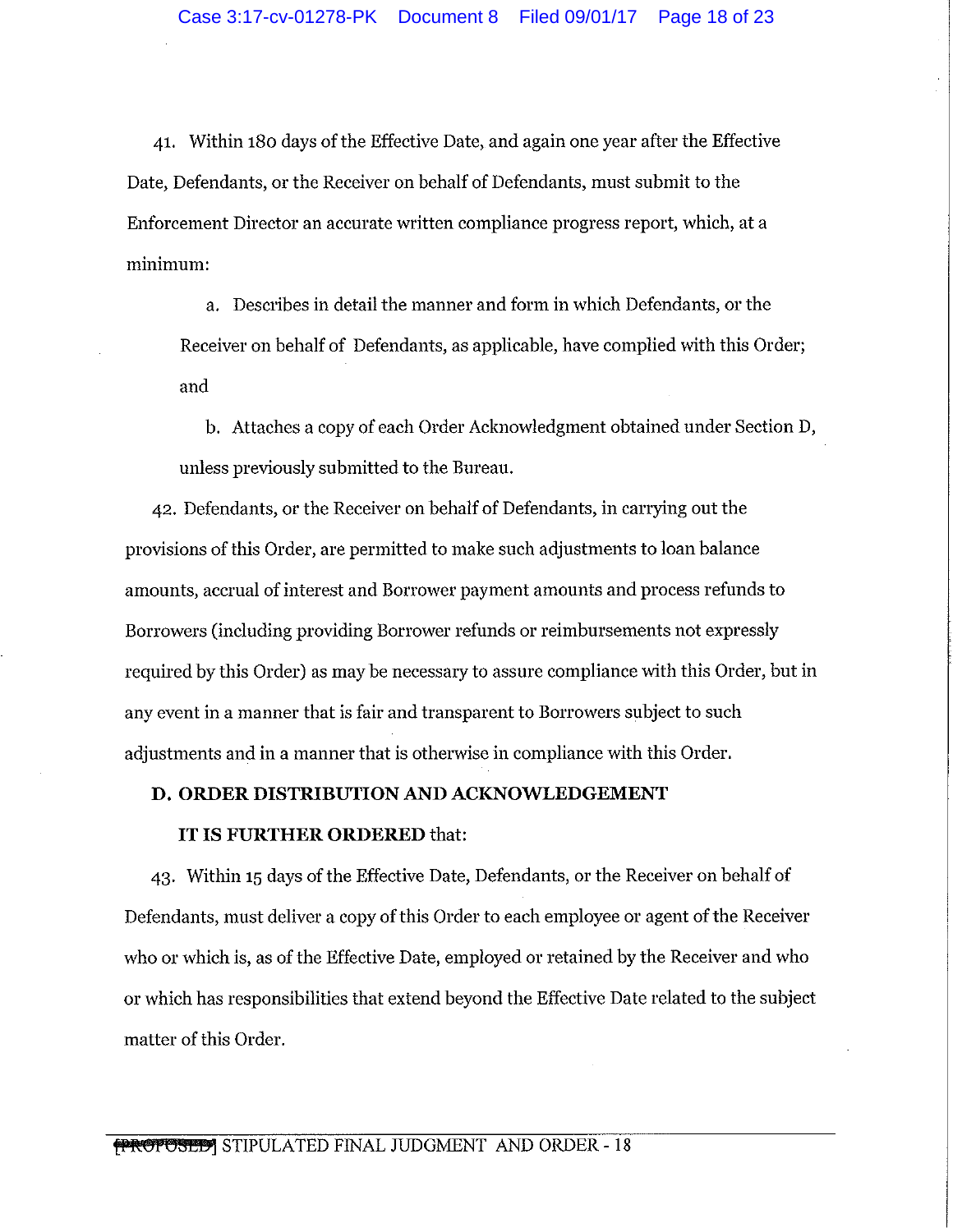41. Within 180 days of the Effective Date, and again one year after the Effective Date, Defendants, or the Receiver on behalf of Defendants, must submit to the Enforcement Director an accurate written compliance progress report, which, at a minimum:

a. Describes in detail the manner and form in which Defendants, or the Receiver on behalf of Defendants, as applicable, have complied with this Order; and

b. Attaches a copy of each Order Acknowledgment obtained under Section D, unless previously submitted to the Bureau.

42. Defendants, or the Receiver on behalf of Defendants, in carrying out the provisions of this Order, are permitted to make such adjustments to loan balance amounts, accrual of interest and Borrower payment amounts and process refunds to Borrowers (including providing Borrower refunds or reimbursements not expressly required by this Order) as may be necessary to assure compliance with this Order, but in any event in a manner that is fair and transparent to Borrowers subject to such adjustments and in a manner that is otherwise in compliance with this Order.

#### **D. ORDER DISTRIBUTION AND ACKNOWLEDGEMENT**

#### **IT IS FURTHER ORDERED** that:

43. Within 15 days of the Effective Date, Defendants, or the Receiver on behalf of Defendants, must deliver a copy of this Order to each employee or agent of the Receiver who or which is, as of the Effective Date, employed or retained by the Receiver and who or which has responsibilities that extend beyond the Effective Date related to the subject matter of this Order.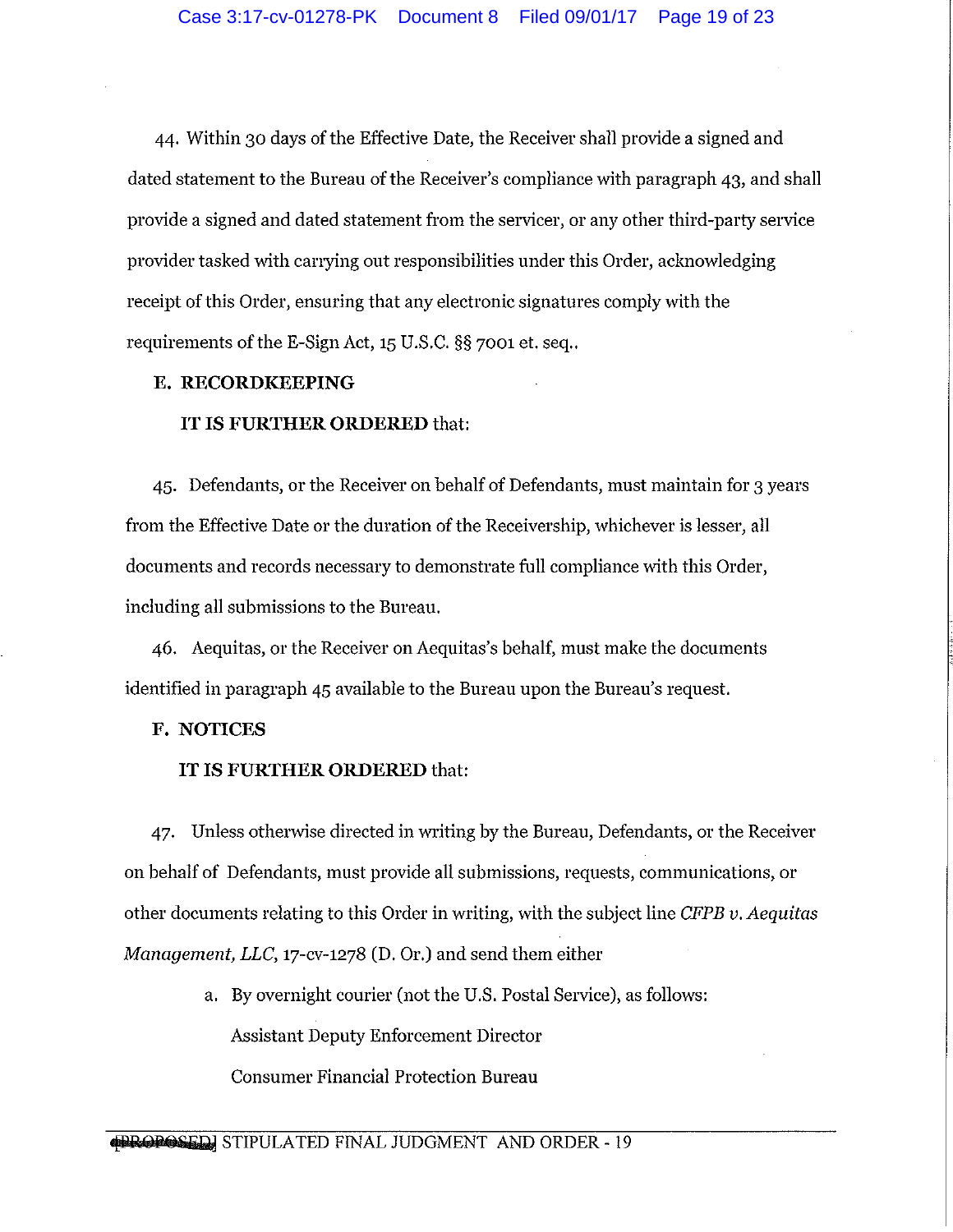44. Within 30 days of the Effective Date, the Receiver shall provide a signed and dated statement to the Bureau of the Receiver's compliance with paragraph 43, and shall provide a signed and dated statement from the servicer, or any other third-party service provider tasked with canying out responsibilities under this Order, acknowledging receipt of this Order, ensuring that any electronic signatures comply with the requirements of the E-Sign Act, 15 U.S.C. §§ 7001 et. seq..

### **E. RECORDKEEPING**

#### **IT IS FURTHER ORDERED** that:

45. Defendants, or the Receiver on behalf of Defendants, must maintain for 3 years from the Effective Date or the duration of the Receivership, whichever is lesser, all documents and records necessary to demonstrate full compliance with this Order, including all submissions to the Bureau.

46. Aequitas, or the Receiver on Aequitas's behalf, must make the documents identified in paragraph 45 available to the Bureau upon the Bureau's request.

# **F. NOTICES**

## **IT IS FURTHER ORDERED** that:

47. Unless otherwise directed in writing by the Bureau, Defendants, or the Receiver on behalf of Defendants, must provide all submissions, requests, communications, or other documents relating to this Order in writing, with the subject line *CFPB v. Aequitas Management, LLC,* 17-cv-1278 (D. Or.) and send them either

> a. By overnight courier (not the U.S. Postal Service), as follows: Assistant Deputy Enforcement Director Consumer Financial Protection Bureau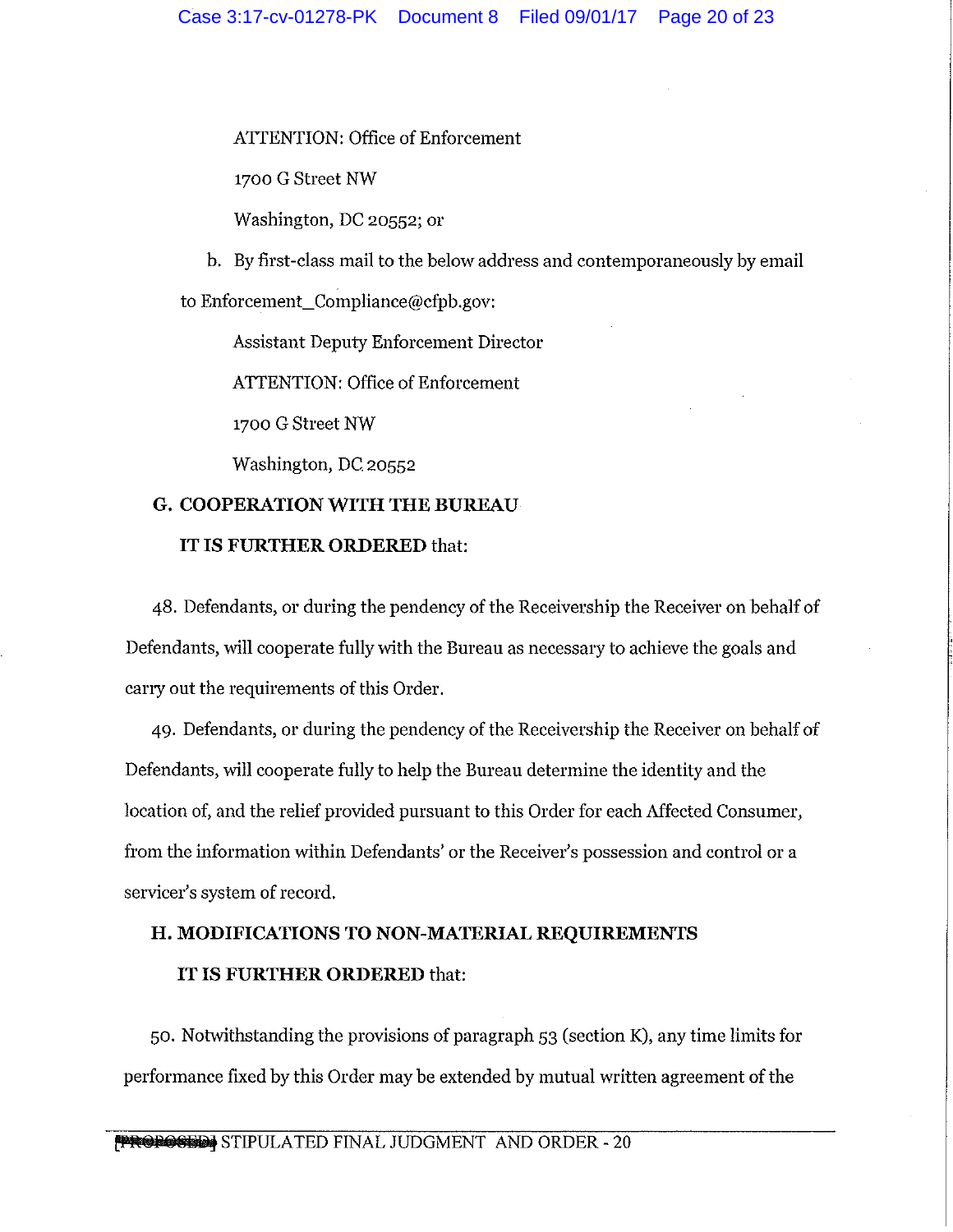# ATTENTION: Office of Enforcement

1700 G Street NW

Washington, DC 20552; or

b. By first-class mail to the below address and contemporaneously by email

to Enforcement\_Compliance@cfpb.gov:

Assistant Deputy Enforcement Director

ATTENTION: Office of Enforcement

1700 G Street NW

Washington, DC 20552

# **G. COOPERATION WITH THE BUREAU**

## **IT IS FURTHER ORDERED** that:

48. Defendants, or during the pendency of the Receivership the Receiver on behalf of Defendants, will cooperate fully with the Bureau as necessary to achieve the goals and carry out the requirements of this Order.

49. Defendants, or during the pendency of the Receivership the Receiver on behalf of Defendants, will cooperate fully to help the Bureau determine the identity and the location of, and the relief provided pursuant to this Order for each Affected Consumer, from the information within Defendants' or the Receiver's possession and control or a servicer's system of record.

# **H. MODIFICATIONS TO NON-MATERIAL REQUIREMENTS IT IS FURTHER ORDERED** that:

50. Notwithstanding the provisions of paragraph 53 (section K), any time limits for performance fixed by this Order may be extended by mutual written agreement of the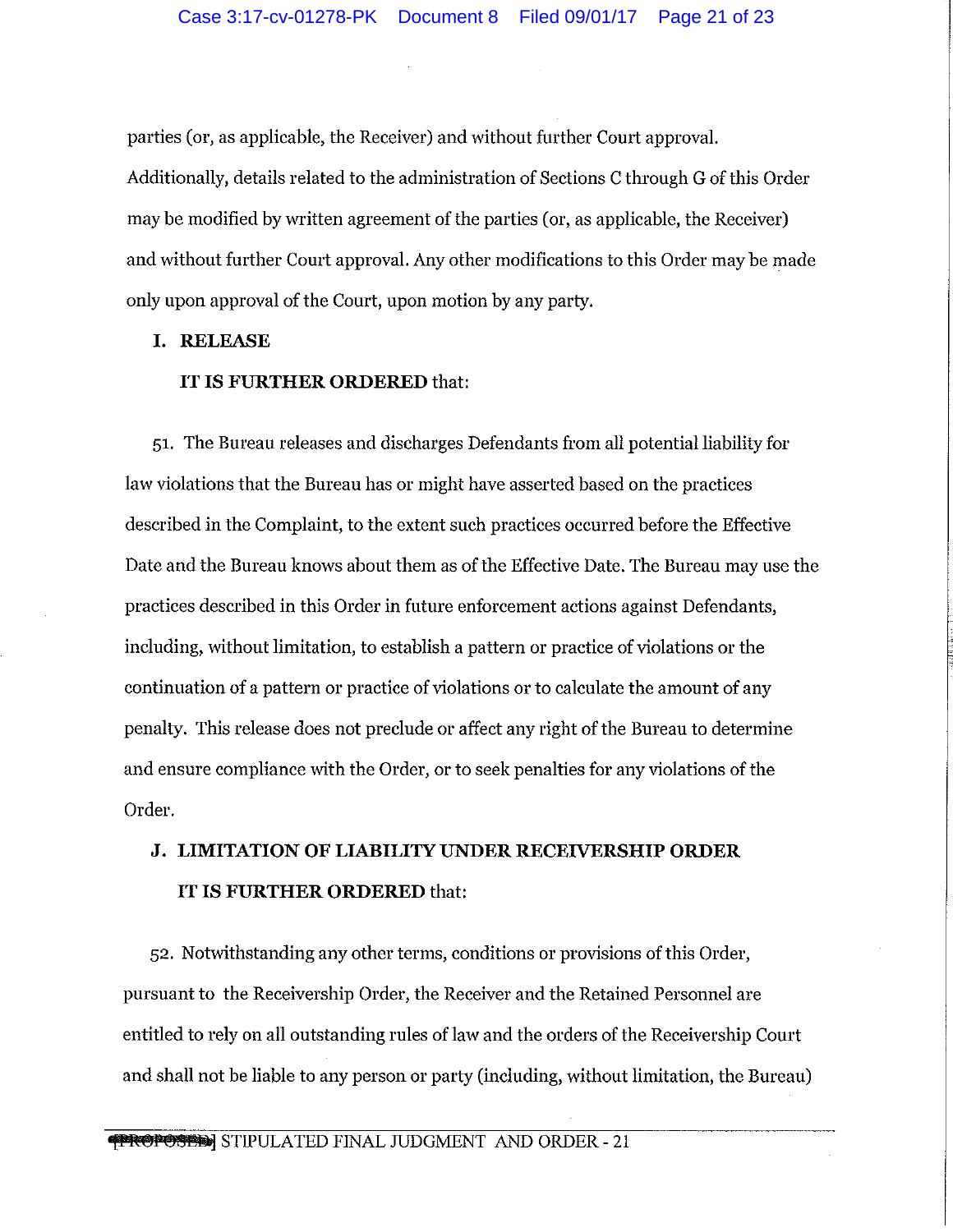parties (or, as applicable, the Receiver) and without further Court approval. Additionally, details related to the administration of Sections C through G of this Order may be modified by written agreement of the parties (or, as applicable, the Receiver) and without further Court approval. Any other modifications to this Order may be made only upon approval of the Court, upon motion by any party.

#### **I. RELEASE**

#### **IT IS FURTHER ORDERED** that:

51. The Bureau releases and discharges Defendants from all potential liability for law violations that the Bureau has or might have asserted based on the practices described in the Complaint, to the extent such practices occurred before the Effective Date and the Bureau knows about them as of the Effective Date. The Bureau may use the practices described in this Order in future enforcement actions against Defendants, including, without limitation, to establish a pattern or practice of violations or the continuation of a pattern or practice of violations or to calculate the amount of any penalty. This release does not preclude or affect any right of the Bureau to determine and ensure compliance with the Order, or to seek penalties for any violations of the Order.

# **J. LIMITATION OF LIABILITY UNDER RECEIVERSHIP ORDER IT IS FURTHER ORDERED** that:

52. Notwithstanding any other terms, conditions or provisions of this Order, pursuant to the Receivership Order, the Receiver and the Retained Personnel are entitled to rely on all outstanding rules of law and the orders of the Receivership Court and shall not be liable to any person or party (including, without limitation, the Bureau)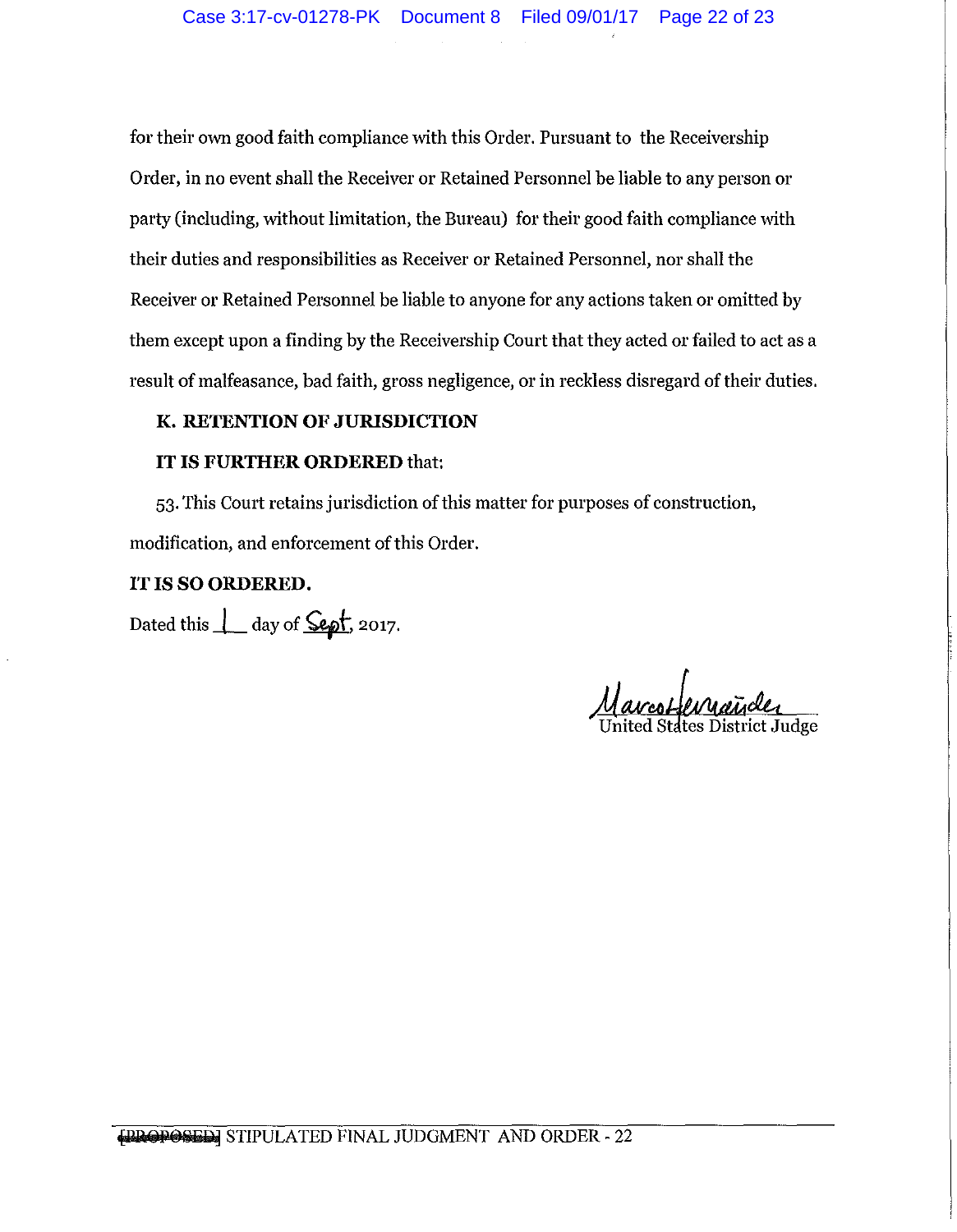for their own good faith compliance with this Order. Pursuant to the Receivership Order, in no event shall the Receiver or Retained Personnel be liable to any person or party (including, without limitation, the Bureau) for their good faith compliance with their duties and responsibilities as Receiver or Retained Personnel, nor shall the Receiver or Retained Personnel be liable to anyone for any actions taken or omitted by them except upon a finding by the Receivership Court that they acted or failed to act as a result of malfeasance, bad faith, gross negligence, or in reckless disregard of their duties.

# **K. RETENTION OF JURISDICTION**

## **IT IS FURTHER ORDERED** that:

53. This Court retains jurisdiction of this matter for purposes of construction, modification, and enforcement of this Order.

## IT IS **SO ORDERED.**

Dated this  $\perp$  day of  $\frac{\text{depth}}{\text{depth}}$ , 2017.